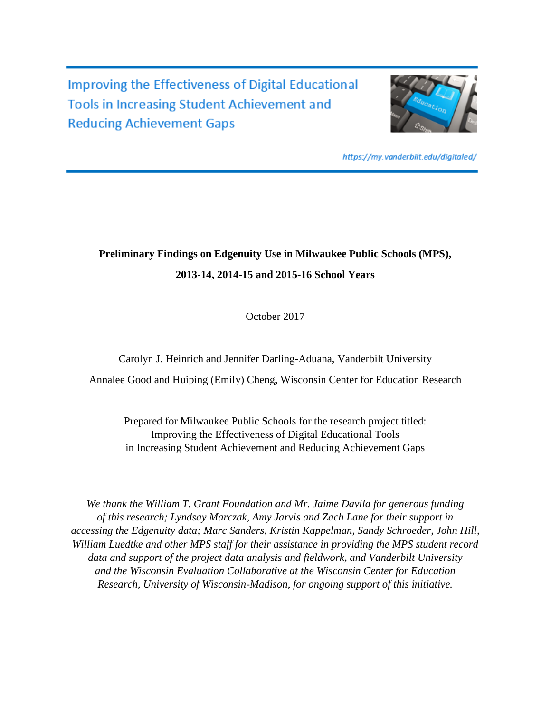Improving the Effectiveness of Digital Educational **Tools in Increasing Student Achievement and Reducing Achievement Gaps** 



https://my.vanderbilt.edu/digitaled/

# **Preliminary Findings on Edgenuity Use in Milwaukee Public Schools (MPS), 2013-14, 2014-15 and 2015-16 School Years**

October 2017

Carolyn J. Heinrich and Jennifer Darling-Aduana, Vanderbilt University

Annalee Good and Huiping (Emily) Cheng, Wisconsin Center for Education Research

Prepared for Milwaukee Public Schools for the research project titled: Improving the Effectiveness of Digital Educational Tools in Increasing Student Achievement and Reducing Achievement Gaps

*We thank the William T. Grant Foundation and Mr. Jaime Davila for generous funding of this research; Lyndsay Marczak, Amy Jarvis and Zach Lane for their support in accessing the Edgenuity data; Marc Sanders, Kristin Kappelman, Sandy Schroeder, John Hill, William Luedtke and other MPS staff for their assistance in providing the MPS student record data and support of the project data analysis and fieldwork, and Vanderbilt University and the Wisconsin Evaluation Collaborative at the Wisconsin Center for Education Research, University of Wisconsin-Madison, for ongoing support of this initiative.*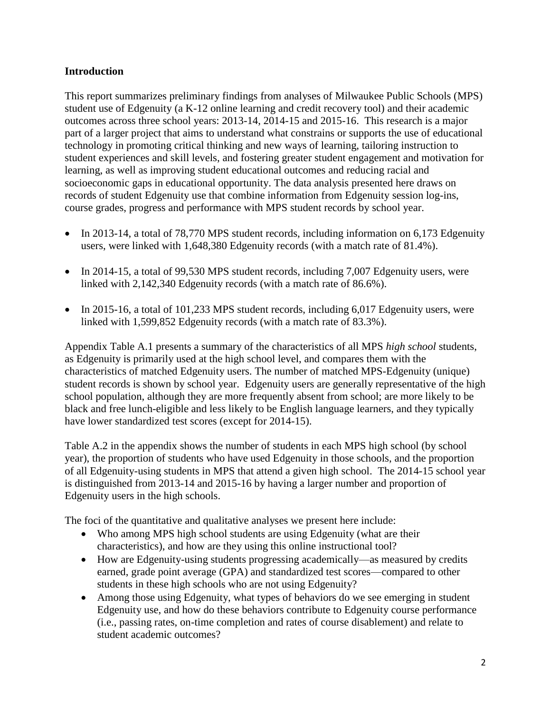### **Introduction**

This report summarizes preliminary findings from analyses of Milwaukee Public Schools (MPS) student use of Edgenuity (a K-12 online learning and credit recovery tool) and their academic outcomes across three school years: 2013-14, 2014-15 and 2015-16. This research is a major part of a larger project that aims to understand what constrains or supports the use of educational technology in promoting critical thinking and new ways of learning, tailoring instruction to student experiences and skill levels, and fostering greater student engagement and motivation for learning, as well as improving student educational outcomes and reducing racial and socioeconomic gaps in educational opportunity. The data analysis presented here draws on records of student Edgenuity use that combine information from Edgenuity session log-ins, course grades, progress and performance with MPS student records by school year.

- In 2013-14, a total of 78,770 MPS student records, including information on 6,173 Edgenuity users, were linked with 1,648,380 Edgenuity records (with a match rate of 81.4%).
- $\bullet$  In 2014-15, a total of 99,530 MPS student records, including 7,007 Edgenuity users, were linked with 2,142,340 Edgenuity records (with a match rate of 86.6%).
- $\bullet$  In 2015-16, a total of 101,233 MPS student records, including 6,017 Edgenuity users, were linked with 1,599,852 Edgenuity records (with a match rate of 83.3%).

Appendix Table A.1 presents a summary of the characteristics of all MPS *high school* students, as Edgenuity is primarily used at the high school level, and compares them with the characteristics of matched Edgenuity users. The number of matched MPS-Edgenuity (unique) student records is shown by school year. Edgenuity users are generally representative of the high school population, although they are more frequently absent from school; are more likely to be black and free lunch-eligible and less likely to be English language learners, and they typically have lower standardized test scores (except for 2014-15).

Table A.2 in the appendix shows the number of students in each MPS high school (by school year), the proportion of students who have used Edgenuity in those schools, and the proportion of all Edgenuity-using students in MPS that attend a given high school. The 2014-15 school year is distinguished from 2013-14 and 2015-16 by having a larger number and proportion of Edgenuity users in the high schools.

The foci of the quantitative and qualitative analyses we present here include:

- Who among MPS high school students are using Edgenuity (what are their characteristics), and how are they using this online instructional tool?
- How are Edgenuity-using students progressing academically—as measured by credits earned, grade point average (GPA) and standardized test scores—compared to other students in these high schools who are not using Edgenuity?
- Among those using Edgenuity, what types of behaviors do we see emerging in student Edgenuity use, and how do these behaviors contribute to Edgenuity course performance (i.e., passing rates, on-time completion and rates of course disablement) and relate to student academic outcomes?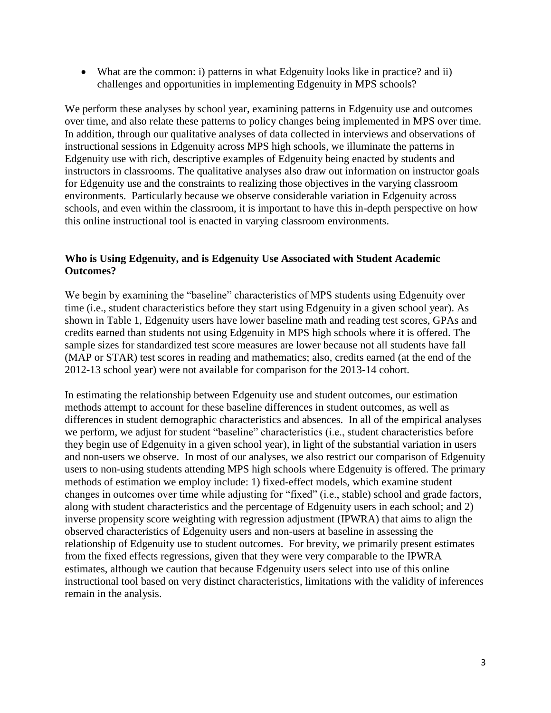What are the common: i) patterns in what Edgenuity looks like in practice? and ii) challenges and opportunities in implementing Edgenuity in MPS schools?

We perform these analyses by school year, examining patterns in Edgenuity use and outcomes over time, and also relate these patterns to policy changes being implemented in MPS over time. In addition, through our qualitative analyses of data collected in interviews and observations of instructional sessions in Edgenuity across MPS high schools, we illuminate the patterns in Edgenuity use with rich, descriptive examples of Edgenuity being enacted by students and instructors in classrooms. The qualitative analyses also draw out information on instructor goals for Edgenuity use and the constraints to realizing those objectives in the varying classroom environments. Particularly because we observe considerable variation in Edgenuity across schools, and even within the classroom, it is important to have this in-depth perspective on how this online instructional tool is enacted in varying classroom environments.

#### **Who is Using Edgenuity, and is Edgenuity Use Associated with Student Academic Outcomes?**

We begin by examining the "baseline" characteristics of MPS students using Edgenuity over time (i.e., student characteristics before they start using Edgenuity in a given school year). As shown in Table 1, Edgenuity users have lower baseline math and reading test scores, GPAs and credits earned than students not using Edgenuity in MPS high schools where it is offered. The sample sizes for standardized test score measures are lower because not all students have fall (MAP or STAR) test scores in reading and mathematics; also, credits earned (at the end of the 2012-13 school year) were not available for comparison for the 2013-14 cohort.

In estimating the relationship between Edgenuity use and student outcomes, our estimation methods attempt to account for these baseline differences in student outcomes, as well as differences in student demographic characteristics and absences. In all of the empirical analyses we perform, we adjust for student "baseline" characteristics (i.e., student characteristics before they begin use of Edgenuity in a given school year), in light of the substantial variation in users and non-users we observe. In most of our analyses, we also restrict our comparison of Edgenuity users to non-using students attending MPS high schools where Edgenuity is offered. The primary methods of estimation we employ include: 1) fixed-effect models, which examine student changes in outcomes over time while adjusting for "fixed" (i.e., stable) school and grade factors, along with student characteristics and the percentage of Edgenuity users in each school; and 2) inverse propensity score weighting with regression adjustment (IPWRA) that aims to align the observed characteristics of Edgenuity users and non-users at baseline in assessing the relationship of Edgenuity use to student outcomes. For brevity, we primarily present estimates from the fixed effects regressions, given that they were very comparable to the IPWRA estimates, although we caution that because Edgenuity users select into use of this online instructional tool based on very distinct characteristics, limitations with the validity of inferences remain in the analysis.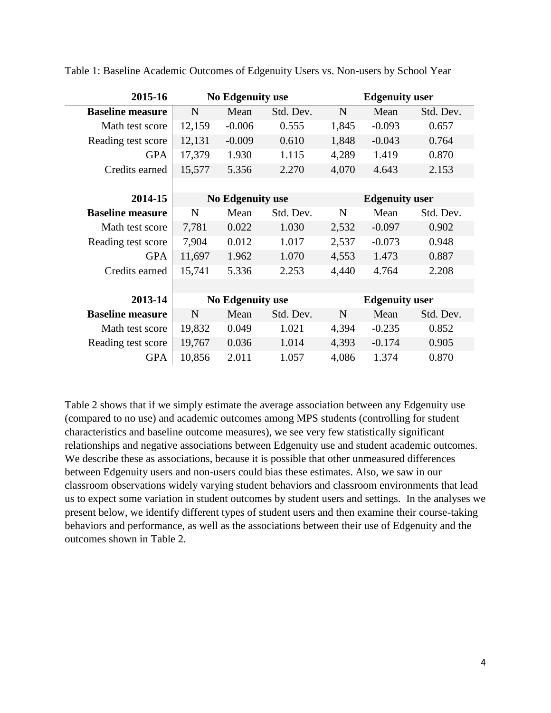| 2015-16                 |        | <b>No Edgenuity use</b> |           |       | <b>Edgenuity user</b> |           |
|-------------------------|--------|-------------------------|-----------|-------|-----------------------|-----------|
| <b>Baseline measure</b> | N      | Mean                    | Std. Dev. | N     | Mean                  | Std. Dev. |
| Math test score         | 12,159 | $-0.006$                | 0.555     | 1,845 | $-0.093$              | 0.657     |
| Reading test score      | 12,131 | $-0.009$                | 0.610     | 1,848 | $-0.043$              | 0.764     |
| <b>GPA</b>              | 17,379 | 1.930                   | 1.115     | 4,289 | 1.419                 | 0.870     |
| Credits earned          | 15,577 | 5.356                   | 2.270     | 4,070 | 4.643                 | 2.153     |
|                         |        |                         |           |       |                       |           |
| 2014-15                 |        | <b>No Edgenuity use</b> |           |       | <b>Edgenuity user</b> |           |
| <b>Baseline measure</b> | N      | Mean                    | Std. Dev. | N     | Mean                  | Std. Dev. |
| Math test score         | 7,781  | 0.022                   | 1.030     | 2,532 | $-0.097$              | 0.902     |
| Reading test score      | 7,904  | 0.012                   | 1.017     | 2,537 | $-0.073$              | 0.948     |
| <b>GPA</b>              | 11,697 | 1.962                   | 1.070     | 4,553 | 1.473                 | 0.887     |
| Credits earned          | 15,741 | 5.336                   | 2.253     | 4,440 | 4.764                 | 2.208     |
|                         |        |                         |           |       |                       |           |
| 2013-14                 |        | <b>No Edgenuity use</b> |           |       | <b>Edgenuity user</b> |           |
| <b>Baseline measure</b> | N      | Mean                    | Std. Dev. | N     | Mean                  | Std. Dev. |
| Math test score         | 19,832 | 0.049                   | 1.021     | 4,394 | $-0.235$              | 0.852     |
| Reading test score      | 19,767 | 0.036                   | 1.014     | 4,393 | $-0.174$              | 0.905     |
| <b>GPA</b>              | 10,856 | 2.011                   | 1.057     | 4,086 | 1.374                 | 0.870     |

Table 1: Baseline Academic Outcomes of Edgenuity Users vs. Non-users by School Year

Table 2 shows that if we simply estimate the average association between any Edgenuity use (compared to no use) and academic outcomes among MPS students (controlling for student characteristics and baseline outcome measures), we see very few statistically significant relationships and negative associations between Edgenuity use and student academic outcomes. We describe these as associations, because it is possible that other unmeasured differences between Edgenuity users and non-users could bias these estimates. Also, we saw in our classroom observations widely varying student behaviors and classroom environments that lead us to expect some variation in student outcomes by student users and settings. In the analyses we present below, we identify different types of student users and then examine their course-taking behaviors and performance, as well as the associations between their use of Edgenuity and the outcomes shown in Table 2.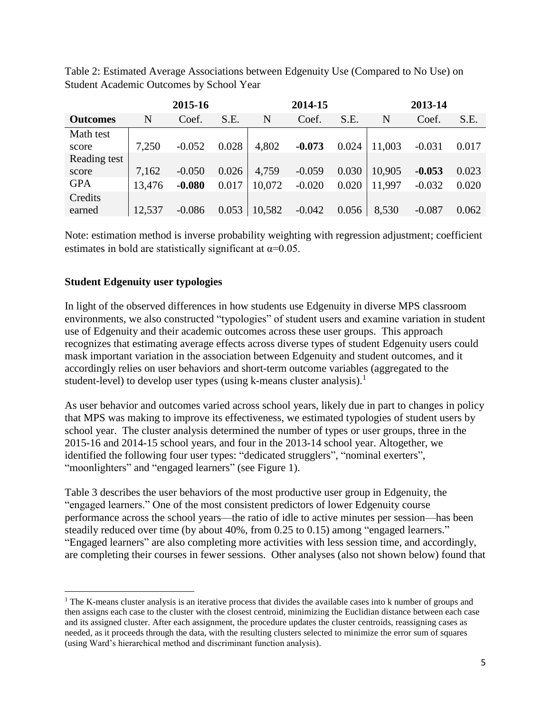|                 | 2015-16 |          |       |        | 2014-15  |       | 2013-14 |          |       |  |
|-----------------|---------|----------|-------|--------|----------|-------|---------|----------|-------|--|
| <b>Outcomes</b> | N       | Coef.    | S.E.  | N      | Coef.    | S.E.  | N       | Coef.    | S.E.  |  |
| Math test       |         |          |       |        |          |       |         |          |       |  |
| score           | 7,250   | $-0.052$ | 0.028 | 4,802  | $-0.073$ | 0.024 | 11,003  | $-0.031$ | 0.017 |  |
| Reading test    |         |          |       |        |          |       |         |          |       |  |
| score           | 7,162   | $-0.050$ | 0.026 | 4,759  | $-0.059$ | 0.030 | 10,905  | $-0.053$ | 0.023 |  |
| <b>GPA</b>      | 13,476  | $-0.080$ | 0.017 | 10,072 | $-0.020$ | 0.020 | 11,997  | $-0.032$ | 0.020 |  |
| Credits         |         |          |       |        |          |       |         |          |       |  |
| earned          | 12,537  | $-0.086$ | 0.053 | 10,582 | $-0.042$ | 0.056 | 8,530   | $-0.087$ | 0.062 |  |

Table 2: Estimated Average Associations between Edgenuity Use (Compared to No Use) on Student Academic Outcomes by School Year

Note: estimation method is inverse probability weighting with regression adjustment; coefficient estimates in bold are statistically significant at  $\alpha$ =0.05.

### **Student Edgenuity user typologies**

 $\overline{a}$ 

In light of the observed differences in how students use Edgenuity in diverse MPS classroom environments, we also constructed "typologies" of student users and examine variation in student use of Edgenuity and their academic outcomes across these user groups. This approach recognizes that estimating average effects across diverse types of student Edgenuity users could mask important variation in the association between Edgenuity and student outcomes, and it accordingly relies on user behaviors and short-term outcome variables (aggregated to the student-level) to develop user types (using k-means cluster analysis).<sup>1</sup>

As user behavior and outcomes varied across school years, likely due in part to changes in policy that MPS was making to improve its effectiveness, we estimated typologies of student users by school year. The cluster analysis determined the number of types or user groups, three in the 2015-16 and 2014-15 school years, and four in the 2013-14 school year. Altogether, we identified the following four user types: "dedicated strugglers", "nominal exerters", "moonlighters" and "engaged learners" (see Figure 1).

Table 3 describes the user behaviors of the most productive user group in Edgenuity, the "engaged learners." One of the most consistent predictors of lower Edgenuity course performance across the school years—the ratio of idle to active minutes per session—has been steadily reduced over time (by about 40%, from 0.25 to 0.15) among "engaged learners." "Engaged learners" are also completing more activities with less session time, and accordingly, are completing their courses in fewer sessions. Other analyses (also not shown below) found that

<sup>&</sup>lt;sup>1</sup> The K-means cluster analysis is an iterative process that divides the available cases into k number of groups and then assigns each case to the cluster with the closest centroid, minimizing the Euclidian distance between each case and its assigned cluster. After each assignment, the procedure updates the cluster centroids, reassigning cases as needed, as it proceeds through the data, with the resulting clusters selected to minimize the error sum of squares (using Ward's hierarchical method and discriminant function analysis).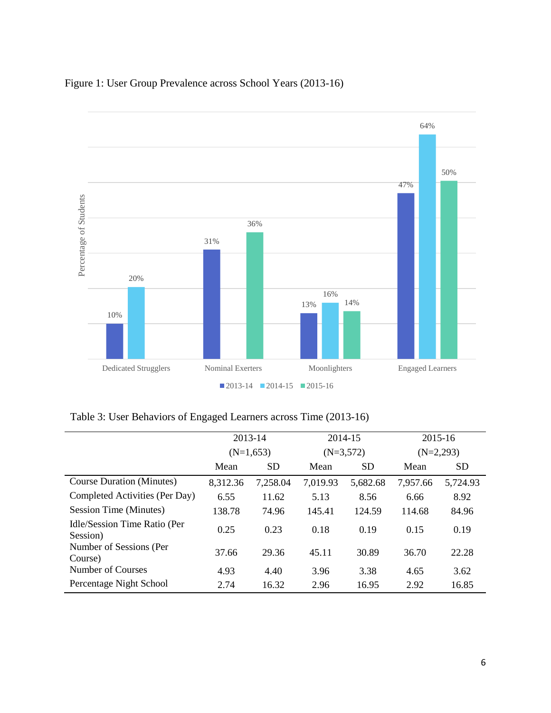



Table 3: User Behaviors of Engaged Learners across Time (2013-16)

|                                          | 2013-14     |           |          | 2014-15     |          | 2015-16     |  |
|------------------------------------------|-------------|-----------|----------|-------------|----------|-------------|--|
|                                          | $(N=1,653)$ |           |          | $(N=3,572)$ |          | $(N=2,293)$ |  |
|                                          | Mean        | <b>SD</b> | Mean     | <b>SD</b>   | Mean     | <b>SD</b>   |  |
| <b>Course Duration (Minutes)</b>         | 8,312.36    | 7,258.04  | 7,019.93 | 5,682.68    | 7,957.66 | 5,724.93    |  |
| Completed Activities (Per Day)           | 6.55        | 11.62     | 5.13     | 8.56        | 6.66     | 8.92        |  |
| Session Time (Minutes)                   | 138.78      | 74.96     | 145.41   | 124.59      | 114.68   | 84.96       |  |
| Idle/Session Time Ratio (Per<br>Session) | 0.25        | 0.23      | 0.18     | 0.19        | 0.15     | 0.19        |  |
| Number of Sessions (Per<br>Course)       | 37.66       | 29.36     | 45.11    | 30.89       | 36.70    | 22.28       |  |
| Number of Courses                        | 4.93        | 4.40      | 3.96     | 3.38        | 4.65     | 3.62        |  |
| Percentage Night School                  | 2.74        | 16.32     | 2.96     | 16.95       | 2.92     | 16.85       |  |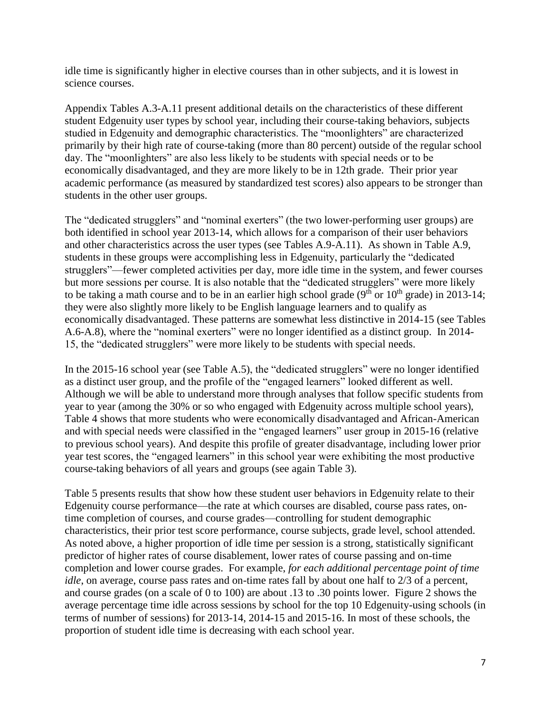idle time is significantly higher in elective courses than in other subjects, and it is lowest in science courses.

Appendix Tables A.3-A.11 present additional details on the characteristics of these different student Edgenuity user types by school year, including their course-taking behaviors, subjects studied in Edgenuity and demographic characteristics. The "moonlighters" are characterized primarily by their high rate of course-taking (more than 80 percent) outside of the regular school day. The "moonlighters" are also less likely to be students with special needs or to be economically disadvantaged, and they are more likely to be in 12th grade. Their prior year academic performance (as measured by standardized test scores) also appears to be stronger than students in the other user groups.

The "dedicated strugglers" and "nominal exerters" (the two lower-performing user groups) are both identified in school year 2013-14, which allows for a comparison of their user behaviors and other characteristics across the user types (see Tables A.9-A.11). As shown in Table A.9, students in these groups were accomplishing less in Edgenuity, particularly the "dedicated strugglers"—fewer completed activities per day, more idle time in the system, and fewer courses but more sessions per course. It is also notable that the "dedicated strugglers" were more likely to be taking a math course and to be in an earlier high school grade ( $9<sup>th</sup>$  or  $10<sup>th</sup>$  grade) in 2013-14; they were also slightly more likely to be English language learners and to qualify as economically disadvantaged. These patterns are somewhat less distinctive in 2014-15 (see Tables A.6-A.8), where the "nominal exerters" were no longer identified as a distinct group. In 2014- 15, the "dedicated strugglers" were more likely to be students with special needs.

In the 2015-16 school year (see Table A.5), the "dedicated strugglers" were no longer identified as a distinct user group, and the profile of the "engaged learners" looked different as well. Although we will be able to understand more through analyses that follow specific students from year to year (among the 30% or so who engaged with Edgenuity across multiple school years), Table 4 shows that more students who were economically disadvantaged and African-American and with special needs were classified in the "engaged learners" user group in 2015-16 (relative to previous school years). And despite this profile of greater disadvantage, including lower prior year test scores, the "engaged learners" in this school year were exhibiting the most productive course-taking behaviors of all years and groups (see again Table 3).

Table 5 presents results that show how these student user behaviors in Edgenuity relate to their Edgenuity course performance—the rate at which courses are disabled, course pass rates, ontime completion of courses, and course grades—controlling for student demographic characteristics, their prior test score performance, course subjects, grade level, school attended. As noted above, a higher proportion of idle time per session is a strong, statistically significant predictor of higher rates of course disablement, lower rates of course passing and on-time completion and lower course grades. For example, *for each additional percentage point of time idle*, on average, course pass rates and on-time rates fall by about one half to 2/3 of a percent, and course grades (on a scale of 0 to 100) are about .13 to .30 points lower. Figure 2 shows the average percentage time idle across sessions by school for the top 10 Edgenuity-using schools (in terms of number of sessions) for 2013-14, 2014-15 and 2015-16. In most of these schools, the proportion of student idle time is decreasing with each school year.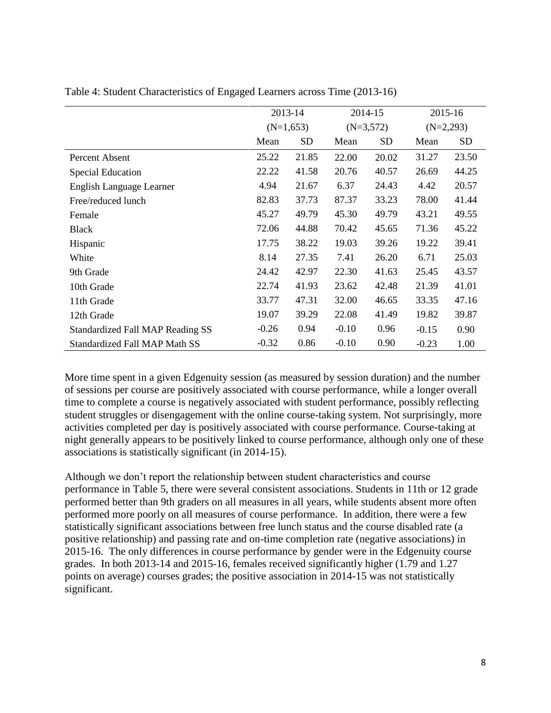|                                      | 2013-14 |             |         | 2014-15     | 2015-16     |           |
|--------------------------------------|---------|-------------|---------|-------------|-------------|-----------|
|                                      |         | $(N=1,653)$ |         | $(N=3,572)$ | $(N=2,293)$ |           |
|                                      | Mean    | <b>SD</b>   | Mean    | <b>SD</b>   | Mean        | <b>SD</b> |
| Percent Absent                       | 25.22   | 21.85       | 22.00   | 20.02       | 31.27       | 23.50     |
| <b>Special Education</b>             | 22.22   | 41.58       | 20.76   | 40.57       | 26.69       | 44.25     |
| English Language Learner             | 4.94    | 21.67       | 6.37    | 24.43       | 4.42        | 20.57     |
| Free/reduced lunch                   | 82.83   | 37.73       | 87.37   | 33.23       | 78.00       | 41.44     |
| Female                               | 45.27   | 49.79       | 45.30   | 49.79       | 43.21       | 49.55     |
| <b>Black</b>                         | 72.06   | 44.88       | 70.42   | 45.65       | 71.36       | 45.22     |
| Hispanic                             | 17.75   | 38.22       | 19.03   | 39.26       | 19.22       | 39.41     |
| White                                | 8.14    | 27.35       | 7.41    | 26.20       | 6.71        | 25.03     |
| 9th Grade                            | 24.42   | 42.97       | 22.30   | 41.63       | 25.45       | 43.57     |
| 10th Grade                           | 22.74   | 41.93       | 23.62   | 42.48       | 21.39       | 41.01     |
| 11th Grade                           | 33.77   | 47.31       | 32.00   | 46.65       | 33.35       | 47.16     |
| 12th Grade                           | 19.07   | 39.29       | 22.08   | 41.49       | 19.82       | 39.87     |
| Standardized Fall MAP Reading SS     | $-0.26$ | 0.94        | $-0.10$ | 0.96        | $-0.15$     | 0.90      |
| <b>Standardized Fall MAP Math SS</b> | $-0.32$ | 0.86        | $-0.10$ | 0.90        | $-0.23$     | 1.00      |

Table 4: Student Characteristics of Engaged Learners across Time (2013-16)

More time spent in a given Edgenuity session (as measured by session duration) and the number of sessions per course are positively associated with course performance, while a longer overall time to complete a course is negatively associated with student performance, possibly reflecting student struggles or disengagement with the online course-taking system. Not surprisingly, more activities completed per day is positively associated with course performance. Course-taking at night generally appears to be positively linked to course performance, although only one of these associations is statistically significant (in 2014-15).

Although we don't report the relationship between student characteristics and course performance in Table 5, there were several consistent associations. Students in 11th or 12 grade performed better than 9th graders on all measures in all years, while students absent more often performed more poorly on all measures of course performance. In addition, there were a few statistically significant associations between free lunch status and the course disabled rate (a positive relationship) and passing rate and on-time completion rate (negative associations) in 2015-16. The only differences in course performance by gender were in the Edgenuity course grades. In both 2013-14 and 2015-16, females received significantly higher (1.79 and 1.27 points on average) courses grades; the positive association in 2014-15 was not statistically significant.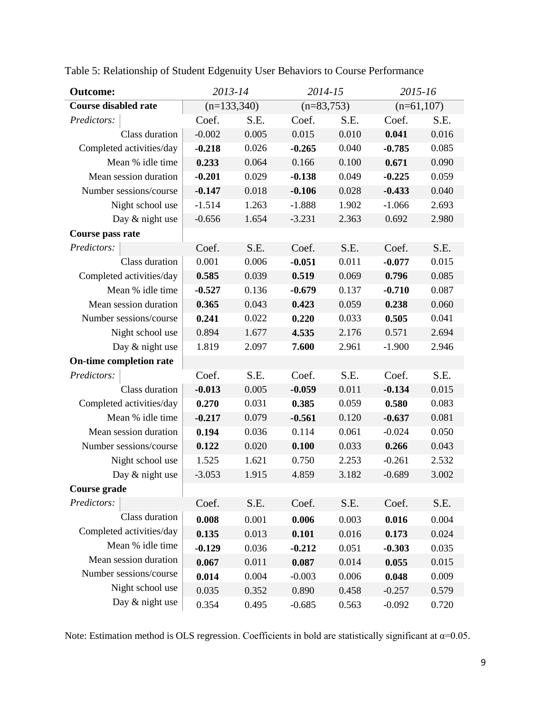| <b>Outcome:</b>             |               | 2013-14 |              | 2014-15 | 2015-16  |              |  |  |
|-----------------------------|---------------|---------|--------------|---------|----------|--------------|--|--|
| <b>Course disabled rate</b> | $(n=133,340)$ |         | $(n=83,753)$ |         |          | $(n=61,107)$ |  |  |
| Predictors:                 | Coef.         | S.E.    | Coef.        | S.E.    | Coef.    | S.E.         |  |  |
| Class duration              | $-0.002$      | 0.005   | 0.015        | 0.010   | 0.041    | 0.016        |  |  |
| Completed activities/day    | $-0.218$      | 0.026   | $-0.265$     | 0.040   | $-0.785$ | 0.085        |  |  |
| Mean % idle time            | 0.233         | 0.064   | 0.166        | 0.100   | 0.671    | 0.090        |  |  |
| Mean session duration       | $-0.201$      | 0.029   | $-0.138$     | 0.049   | $-0.225$ | 0.059        |  |  |
| Number sessions/course      | $-0.147$      | 0.018   | $-0.106$     | 0.028   | $-0.433$ | 0.040        |  |  |
| Night school use            | $-1.514$      | 1.263   | $-1.888$     | 1.902   | $-1.066$ | 2.693        |  |  |
| Day & night use             | $-0.656$      | 1.654   | $-3.231$     | 2.363   | 0.692    | 2.980        |  |  |
| Course pass rate            |               |         |              |         |          |              |  |  |
| Predictors:                 | Coef.         | S.E.    | Coef.        | S.E.    | Coef.    | S.E.         |  |  |
| Class duration              | 0.001         | 0.006   | $-0.051$     | 0.011   | $-0.077$ | 0.015        |  |  |
| Completed activities/day    | 0.585         | 0.039   | 0.519        | 0.069   | 0.796    | 0.085        |  |  |
| Mean % idle time            | $-0.527$      | 0.136   | $-0.679$     | 0.137   | $-0.710$ | 0.087        |  |  |
| Mean session duration       | 0.365         | 0.043   | 0.423        | 0.059   | 0.238    | 0.060        |  |  |
| Number sessions/course      | 0.241         | 0.022   | 0.220        | 0.033   | 0.505    | 0.041        |  |  |
| Night school use            | 0.894         | 1.677   | 4.535        | 2.176   | 0.571    | 2.694        |  |  |
| Day & night use             | 1.819         | 2.097   | 7.600        | 2.961   | $-1.900$ | 2.946        |  |  |
| On-time completion rate     |               |         |              |         |          |              |  |  |
| Predictors:                 | Coef.         | S.E.    | Coef.        | S.E.    | Coef.    | S.E.         |  |  |
| Class duration              | $-0.013$      | 0.005   | $-0.059$     | 0.011   | $-0.134$ | 0.015        |  |  |
| Completed activities/day    | 0.270         | 0.031   | 0.385        | 0.059   | 0.580    | 0.083        |  |  |
| Mean % idle time            | $-0.217$      | 0.079   | $-0.561$     | 0.120   | $-0.637$ | 0.081        |  |  |
| Mean session duration       | 0.194         | 0.036   | 0.114        | 0.061   | $-0.024$ | 0.050        |  |  |
| Number sessions/course      | 0.122         | 0.020   | 0.100        | 0.033   | 0.266    | 0.043        |  |  |
| Night school use            | 1.525         | 1.621   | 0.750        | 2.253   | $-0.261$ | 2.532        |  |  |
| Day & night use             | $-3.053$      | 1.915   | 4.859        | 3.182   | $-0.689$ | 3.002        |  |  |
| Course grade                |               |         |              |         |          |              |  |  |
| Predictors:                 | Coef.         | S.E.    | Coef.        | S.E.    | Coef.    | S.E.         |  |  |
| Class duration              | 0.008         | 0.001   | 0.006        | 0.003   | 0.016    | 0.004        |  |  |
| Completed activities/day    | 0.135         | 0.013   | 0.101        | 0.016   | 0.173    | 0.024        |  |  |
| Mean % idle time            | $-0.129$      | 0.036   | $-0.212$     | 0.051   | $-0.303$ | 0.035        |  |  |
| Mean session duration       | 0.067         | 0.011   | 0.087        | 0.014   | 0.055    | 0.015        |  |  |
| Number sessions/course      | 0.014         | 0.004   | $-0.003$     | 0.006   | 0.048    | 0.009        |  |  |
| Night school use            | 0.035         | 0.352   | 0.890        | 0.458   | $-0.257$ | 0.579        |  |  |
| Day & night use             | 0.354         | 0.495   | $-0.685$     | 0.563   | $-0.092$ | 0.720        |  |  |

Table 5: Relationship of Student Edgenuity User Behaviors to Course Performance

Note: Estimation method is OLS regression. Coefficients in bold are statistically significant at  $\alpha$ =0.05.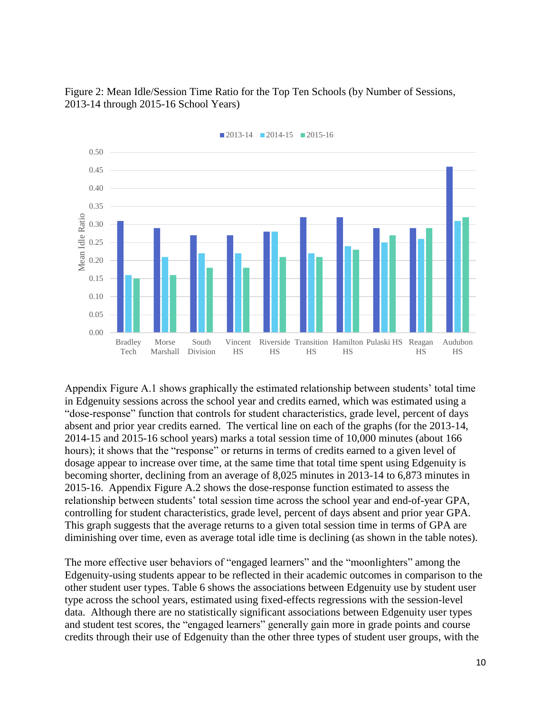Figure 2: Mean Idle/Session Time Ratio for the Top Ten Schools (by Number of Sessions, 2013-14 through 2015-16 School Years)



 $\blacksquare$ 2013-14  $\blacksquare$ 2014-15  $\blacksquare$ 2015-16

Appendix Figure A.1 shows graphically the estimated relationship between students' total time in Edgenuity sessions across the school year and credits earned, which was estimated using a "dose-response" function that controls for student characteristics, grade level, percent of days absent and prior year credits earned. The vertical line on each of the graphs (for the 2013-14, 2014-15 and 2015-16 school years) marks a total session time of 10,000 minutes (about 166 hours); it shows that the "response" or returns in terms of credits earned to a given level of dosage appear to increase over time, at the same time that total time spent using Edgenuity is becoming shorter, declining from an average of 8,025 minutes in 2013-14 to 6,873 minutes in 2015-16. Appendix Figure A.2 shows the dose-response function estimated to assess the relationship between students' total session time across the school year and end-of-year GPA, controlling for student characteristics, grade level, percent of days absent and prior year GPA. This graph suggests that the average returns to a given total session time in terms of GPA are diminishing over time, even as average total idle time is declining (as shown in the table notes).

The more effective user behaviors of "engaged learners" and the "moonlighters" among the Edgenuity-using students appear to be reflected in their academic outcomes in comparison to the other student user types. Table 6 shows the associations between Edgenuity use by student user type across the school years, estimated using fixed-effects regressions with the session-level data. Although there are no statistically significant associations between Edgenuity user types and student test scores, the "engaged learners" generally gain more in grade points and course credits through their use of Edgenuity than the other three types of student user groups, with the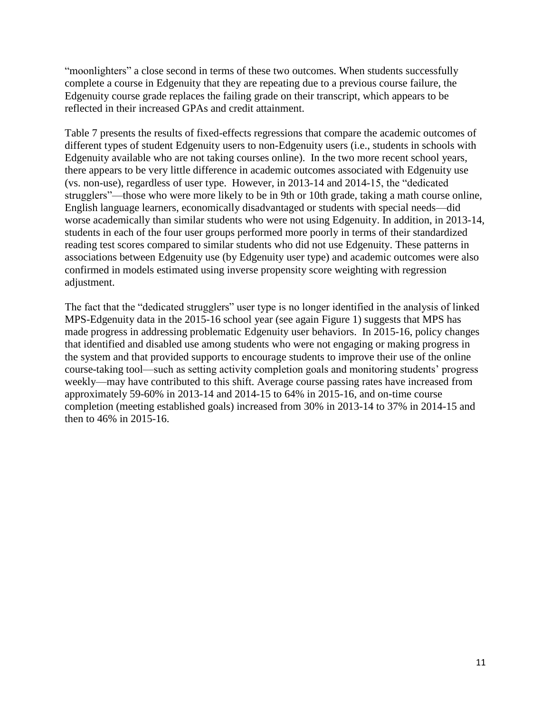"moonlighters" a close second in terms of these two outcomes. When students successfully complete a course in Edgenuity that they are repeating due to a previous course failure, the Edgenuity course grade replaces the failing grade on their transcript, which appears to be reflected in their increased GPAs and credit attainment.

Table 7 presents the results of fixed-effects regressions that compare the academic outcomes of different types of student Edgenuity users to non-Edgenuity users (i.e., students in schools with Edgenuity available who are not taking courses online). In the two more recent school years, there appears to be very little difference in academic outcomes associated with Edgenuity use (vs. non-use), regardless of user type. However, in 2013-14 and 2014-15, the "dedicated strugglers"—those who were more likely to be in 9th or 10th grade, taking a math course online, English language learners, economically disadvantaged or students with special needs—did worse academically than similar students who were not using Edgenuity. In addition, in 2013-14, students in each of the four user groups performed more poorly in terms of their standardized reading test scores compared to similar students who did not use Edgenuity. These patterns in associations between Edgenuity use (by Edgenuity user type) and academic outcomes were also confirmed in models estimated using inverse propensity score weighting with regression adjustment.

The fact that the "dedicated strugglers" user type is no longer identified in the analysis of linked MPS-Edgenuity data in the 2015-16 school year (see again Figure 1) suggests that MPS has made progress in addressing problematic Edgenuity user behaviors. In 2015-16, policy changes that identified and disabled use among students who were not engaging or making progress in the system and that provided supports to encourage students to improve their use of the online course-taking tool—such as setting activity completion goals and monitoring students' progress weekly—may have contributed to this shift. Average course passing rates have increased from approximately 59-60% in 2013-14 and 2014-15 to 64% in 2015-16, and on-time course completion (meeting established goals) increased from 30% in 2013-14 to 37% in 2014-15 and then to 46% in 2015-16.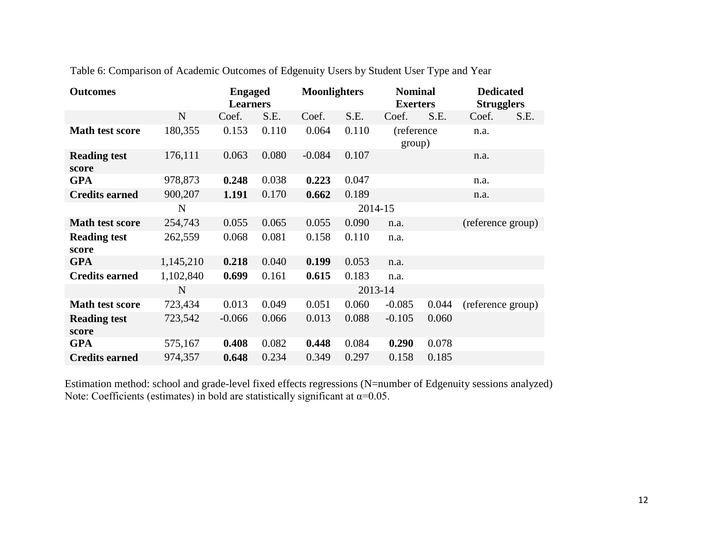| <b>Outcomes</b>              |             | <b>Engaged</b><br><b>Learners</b> |       | <b>Moonlighters</b> |         | <b>Nominal</b><br><b>Exerters</b> |       | <b>Dedicated</b><br><b>Strugglers</b> |      |
|------------------------------|-------------|-----------------------------------|-------|---------------------|---------|-----------------------------------|-------|---------------------------------------|------|
|                              | $\mathbf N$ | Coef.                             | S.E.  | Coef.               | S.E.    | Coef.                             | S.E.  | Coef.                                 | S.E. |
| <b>Math test score</b>       | 180,355     | 0.153                             | 0.110 | 0.064               | 0.110   | (reference<br>group)              |       | n.a.                                  |      |
| <b>Reading test</b><br>score | 176,111     | 0.063                             | 0.080 | $-0.084$            | 0.107   |                                   |       | n.a.                                  |      |
| <b>GPA</b>                   | 978,873     | 0.248                             | 0.038 | 0.223               | 0.047   |                                   |       | n.a.                                  |      |
| <b>Credits earned</b>        | 900,207     | 1.191                             | 0.170 | 0.662               | 0.189   |                                   |       | n.a.                                  |      |
|                              | N           |                                   |       |                     | 2014-15 |                                   |       |                                       |      |
| <b>Math test score</b>       | 254,743     | 0.055                             | 0.065 | 0.055               | 0.090   | n.a.                              |       | (reference group)                     |      |
| <b>Reading test</b><br>score | 262,559     | 0.068                             | 0.081 | 0.158               | 0.110   | n.a.                              |       |                                       |      |
| <b>GPA</b>                   | 1,145,210   | 0.218                             | 0.040 | 0.199               | 0.053   | n.a.                              |       |                                       |      |
| <b>Credits earned</b>        | 1,102,840   | 0.699                             | 0.161 | 0.615               | 0.183   | n.a.                              |       |                                       |      |
|                              | $\mathbf N$ |                                   |       |                     | 2013-14 |                                   |       |                                       |      |
| <b>Math test score</b>       | 723,434     | 0.013                             | 0.049 | 0.051               | 0.060   | $-0.085$                          | 0.044 | (reference group)                     |      |
| <b>Reading test</b><br>score | 723,542     | $-0.066$                          | 0.066 | 0.013               | 0.088   | $-0.105$                          | 0.060 |                                       |      |
| <b>GPA</b>                   | 575,167     | 0.408                             | 0.082 | 0.448               | 0.084   | 0.290                             | 0.078 |                                       |      |
| <b>Credits earned</b>        | 974,357     | 0.648                             | 0.234 | 0.349               | 0.297   | 0.158                             | 0.185 |                                       |      |

Table 6: Comparison of Academic Outcomes of Edgenuity Users by Student User Type and Year

Estimation method: school and grade-level fixed effects regressions (N=number of Edgenuity sessions analyzed) Note: Coefficients (estimates) in bold are statistically significant at  $\alpha$ =0.05.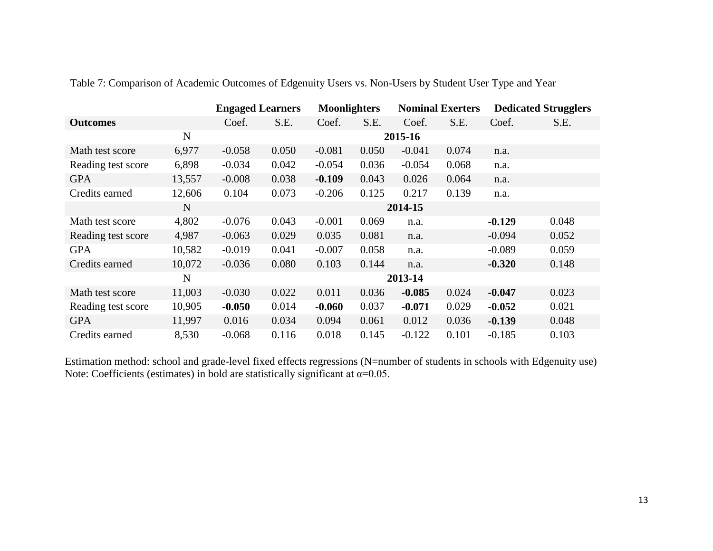|                    |        | <b>Engaged Learners</b> |       | <b>Moonlighters</b> |       | <b>Nominal Exerters</b> |       | <b>Dedicated Strugglers</b> |       |
|--------------------|--------|-------------------------|-------|---------------------|-------|-------------------------|-------|-----------------------------|-------|
| <b>Outcomes</b>    |        | Coef.                   | S.E.  | Coef.               | S.E.  | Coef.                   | S.E.  | Coef.                       | S.E.  |
|                    | N      |                         |       |                     |       | 2015-16                 |       |                             |       |
| Math test score    | 6,977  | $-0.058$                | 0.050 | $-0.081$            | 0.050 | $-0.041$                | 0.074 | n.a.                        |       |
| Reading test score | 6,898  | $-0.034$                | 0.042 | $-0.054$            | 0.036 | $-0.054$                | 0.068 | n.a.                        |       |
| <b>GPA</b>         | 13,557 | $-0.008$                | 0.038 | $-0.109$            | 0.043 | 0.026                   | 0.064 | n.a.                        |       |
| Credits earned     | 12,606 | 0.104                   | 0.073 | $-0.206$            | 0.125 | 0.217                   | 0.139 | n.a.                        |       |
|                    | N      |                         |       |                     |       | 2014-15                 |       |                             |       |
| Math test score    | 4,802  | $-0.076$                | 0.043 | $-0.001$            | 0.069 | n.a.                    |       | $-0.129$                    | 0.048 |
| Reading test score | 4,987  | $-0.063$                | 0.029 | 0.035               | 0.081 | n.a.                    |       | $-0.094$                    | 0.052 |
| <b>GPA</b>         | 10,582 | $-0.019$                | 0.041 | $-0.007$            | 0.058 | n.a.                    |       | $-0.089$                    | 0.059 |
| Credits earned     | 10,072 | $-0.036$                | 0.080 | 0.103               | 0.144 | n.a.                    |       | $-0.320$                    | 0.148 |
|                    | N      |                         |       |                     |       | 2013-14                 |       |                             |       |
| Math test score    | 11,003 | $-0.030$                | 0.022 | 0.011               | 0.036 | $-0.085$                | 0.024 | $-0.047$                    | 0.023 |
| Reading test score | 10,905 | $-0.050$                | 0.014 | $-0.060$            | 0.037 | $-0.071$                | 0.029 | $-0.052$                    | 0.021 |
| <b>GPA</b>         | 11,997 | 0.016                   | 0.034 | 0.094               | 0.061 | 0.012                   | 0.036 | $-0.139$                    | 0.048 |
| Credits earned     | 8,530  | $-0.068$                | 0.116 | 0.018               | 0.145 | $-0.122$                | 0.101 | $-0.185$                    | 0.103 |

Table 7: Comparison of Academic Outcomes of Edgenuity Users vs. Non-Users by Student User Type and Year

Estimation method: school and grade-level fixed effects regressions (N=number of students in schools with Edgenuity use) Note: Coefficients (estimates) in bold are statistically significant at  $\alpha$ =0.05.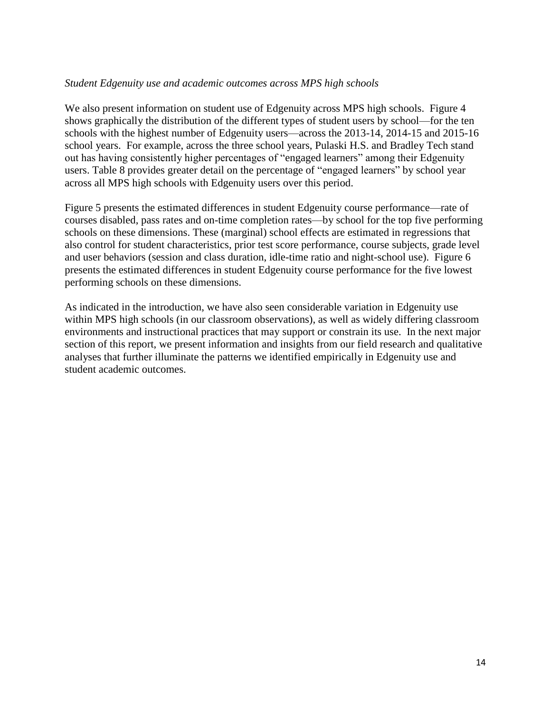#### *Student Edgenuity use and academic outcomes across MPS high schools*

We also present information on student use of Edgenuity across MPS high schools. Figure 4 shows graphically the distribution of the different types of student users by school—for the ten schools with the highest number of Edgenuity users—across the 2013-14, 2014-15 and 2015-16 school years. For example, across the three school years, Pulaski H.S. and Bradley Tech stand out has having consistently higher percentages of "engaged learners" among their Edgenuity users. Table 8 provides greater detail on the percentage of "engaged learners" by school year across all MPS high schools with Edgenuity users over this period.

Figure 5 presents the estimated differences in student Edgenuity course performance—rate of courses disabled, pass rates and on-time completion rates—by school for the top five performing schools on these dimensions. These (marginal) school effects are estimated in regressions that also control for student characteristics, prior test score performance, course subjects, grade level and user behaviors (session and class duration, idle-time ratio and night-school use). Figure 6 presents the estimated differences in student Edgenuity course performance for the five lowest performing schools on these dimensions.

As indicated in the introduction, we have also seen considerable variation in Edgenuity use within MPS high schools (in our classroom observations), as well as widely differing classroom environments and instructional practices that may support or constrain its use. In the next major section of this report, we present information and insights from our field research and qualitative analyses that further illuminate the patterns we identified empirically in Edgenuity use and student academic outcomes.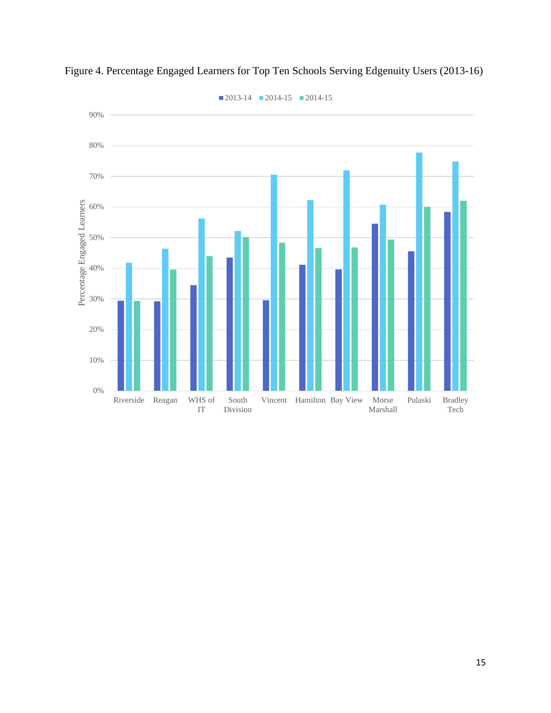

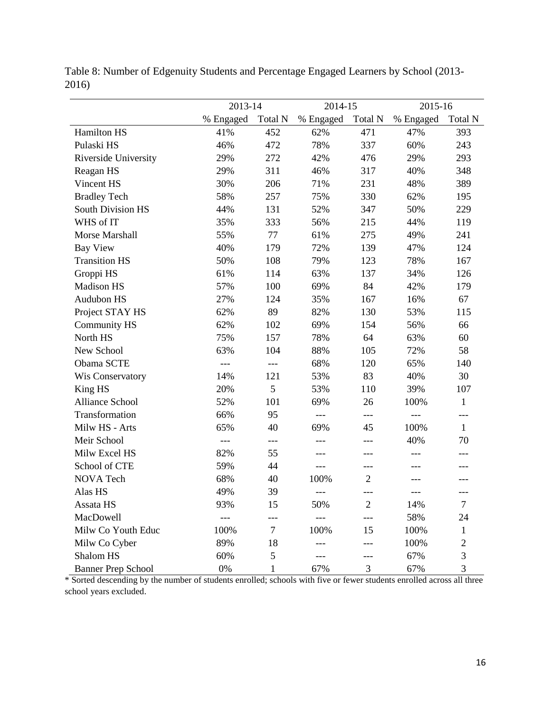|                           | 2013-14   |              | 2014-15   |                | 2015-16   |              |  |
|---------------------------|-----------|--------------|-----------|----------------|-----------|--------------|--|
|                           | % Engaged | Total N      | % Engaged | Total N        | % Engaged | Total N      |  |
| Hamilton HS               | 41%       | 452          | 62%       | 471            | 47%       | 393          |  |
| Pulaski HS                | 46%       | 472          | 78%       | 337            | 60%       | 243          |  |
| Riverside University      | 29%       | 272          | 42%       | 476            | 29%       | 293          |  |
| Reagan HS                 | 29%       | 311          | 46%       | 317            | 40%       | 348          |  |
| Vincent HS                | 30%       | 206          | 71%       | 231            | 48%       | 389          |  |
| <b>Bradley Tech</b>       | 58%       | 257          | 75%       | 330            | 62%       | 195          |  |
| South Division HS         | 44%       | 131          | 52%       | 347            | 50%       | 229          |  |
| WHS of IT                 | 35%       | 333          | 56%       | 215            | 44%       | 119          |  |
| Morse Marshall            | 55%       | 77           | 61%       | 275            | 49%       | 241          |  |
| <b>Bay View</b>           | 40%       | 179          | 72%       | 139            | 47%       | 124          |  |
| <b>Transition HS</b>      | 50%       | 108          | 79%       | 123            | 78%       | 167          |  |
| Groppi HS                 | 61%       | 114          | 63%       | 137            | 34%       | 126          |  |
| <b>Madison HS</b>         | 57%       | 100          | 69%       | 84             | 42%       | 179          |  |
| Audubon HS                | 27%       | 124          | 35%       | 167            | 16%       | 67           |  |
| Project STAY HS           | 62%       | 89           | 82%       | 130            | 53%       | 115          |  |
| <b>Community HS</b>       | 62%       | 102          | 69%       | 154            | 56%       | 66           |  |
| North HS                  | 75%       | 157          | 78%       | 64             | 63%       | 60           |  |
| New School                | 63%       | 104          | 88%       | 105            | 72%       | 58           |  |
| Obama SCTE                | $---$     | $---$        | 68%       | 120            | 65%       | 140          |  |
| Wis Conservatory          | 14%       | 121          | 53%       | 83             | 40%       | 30           |  |
| King HS                   | 20%       | 5            | 53%       | 110            | 39%       | 107          |  |
| <b>Alliance School</b>    | 52%       | 101          | 69%       | 26             | 100%      | $\mathbf{1}$ |  |
| Transformation            | 66%       | 95           | $---$     | $---$          |           | ---          |  |
| Milw HS - Arts            | 65%       | 40           | 69%       | 45             | 100%      | $\mathbf{1}$ |  |
| Meir School               | $---$     | ---          | $---$     | ---            | 40%       | 70           |  |
| Milw Excel HS             | 82%       | 55           | ---       | ---            | $---$     | ---          |  |
| School of CTE             | 59%       | 44           | $---$     | ---            |           | ---          |  |
| NOVA Tech                 | 68%       | 40           | 100%      | $\overline{2}$ |           |              |  |
| Alas HS                   | 49%       | 39           | $---$     |                |           |              |  |
| Assata HS                 | 93%       | 15           | 50%       | $\mathbf{2}$   | 14%       | 7            |  |
| MacDowell                 |           |              |           |                | 58%       | 24           |  |
| Milw Co Youth Educ        | 100%      | $\tau$       | 100%      | 15             | 100%      | $\mathbf{1}$ |  |
| Milw Co Cyber             | 89%       | 18           | ---       | ---            | 100%      | 2            |  |
| Shalom HS                 | 60%       | 5            |           | ---            | 67%       | 3            |  |
| <b>Banner Prep School</b> | $0\%$     | $\mathbf{1}$ | 67%       | 3              | 67%       | 3            |  |

Table 8: Number of Edgenuity Students and Percentage Engaged Learners by School (2013- 2016)

\* Sorted descending by the number of students enrolled; schools with five or fewer students enrolled across all three school years excluded.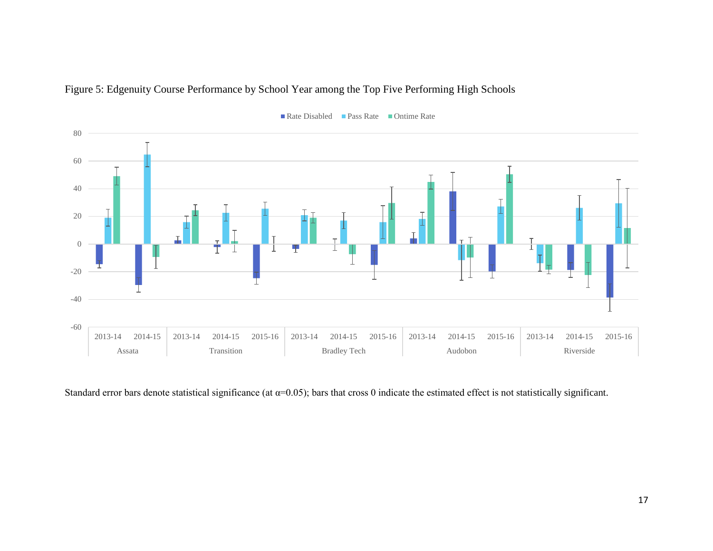



Rate Disabled Pass Rate Ontime Rate

Standard error bars denote statistical significance (at  $\alpha$ =0.05); bars that cross 0 indicate the estimated effect is not statistically significant.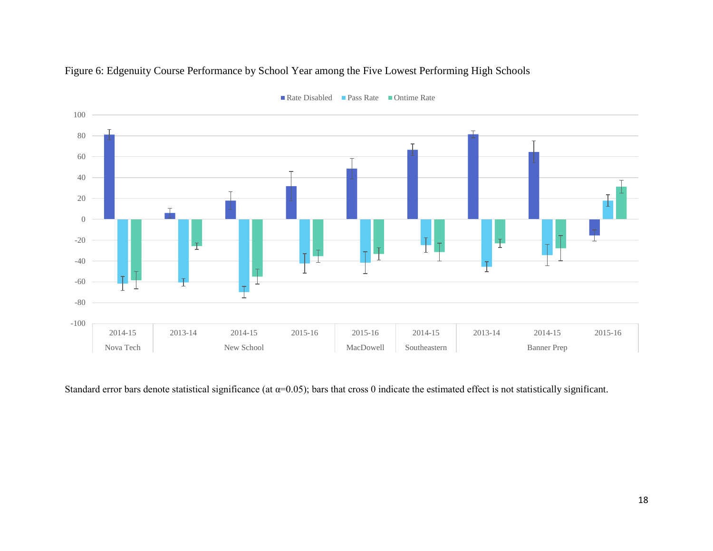

## Figure 6: Edgenuity Course Performance by School Year among the Five Lowest Performing High Schools

Standard error bars denote statistical significance (at  $\alpha$ =0.05); bars that cross 0 indicate the estimated effect is not statistically significant.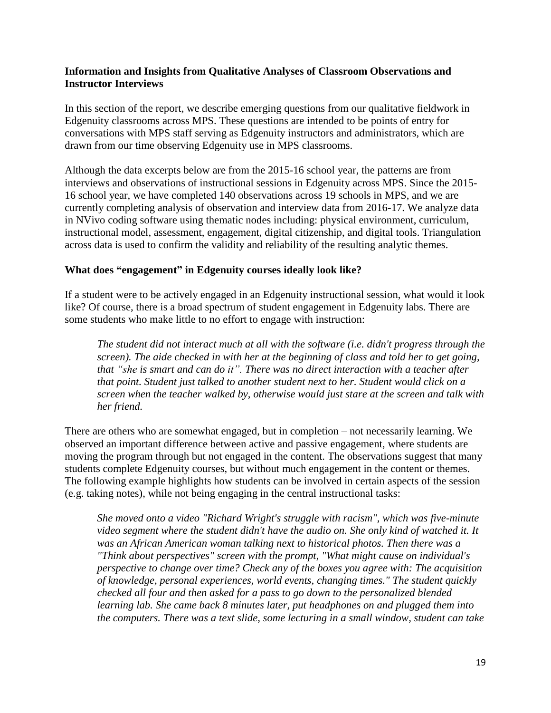#### **Information and Insights from Qualitative Analyses of Classroom Observations and Instructor Interviews**

In this section of the report, we describe emerging questions from our qualitative fieldwork in Edgenuity classrooms across MPS. These questions are intended to be points of entry for conversations with MPS staff serving as Edgenuity instructors and administrators, which are drawn from our time observing Edgenuity use in MPS classrooms.

Although the data excerpts below are from the 2015-16 school year, the patterns are from interviews and observations of instructional sessions in Edgenuity across MPS. Since the 2015- 16 school year, we have completed 140 observations across 19 schools in MPS, and we are currently completing analysis of observation and interview data from 2016-17. We analyze data in NVivo coding software using thematic nodes including: physical environment, curriculum, instructional model, assessment, engagement, digital citizenship, and digital tools. Triangulation across data is used to confirm the validity and reliability of the resulting analytic themes.

#### **What does "engagement" in Edgenuity courses ideally look like?**

If a student were to be actively engaged in an Edgenuity instructional session, what would it look like? Of course, there is a broad spectrum of student engagement in Edgenuity labs. There are some students who make little to no effort to engage with instruction:

*The student did not interact much at all with the software (i.e. didn't progress through the screen). The aide checked in with her at the beginning of class and told her to get going, that "she is smart and can do it". There was no direct interaction with a teacher after that point. Student just talked to another student next to her. Student would click on a screen when the teacher walked by, otherwise would just stare at the screen and talk with her friend.*

There are others who are somewhat engaged, but in completion – not necessarily learning. We observed an important difference between active and passive engagement, where students are moving the program through but not engaged in the content. The observations suggest that many students complete Edgenuity courses, but without much engagement in the content or themes. The following example highlights how students can be involved in certain aspects of the session (e.g. taking notes), while not being engaging in the central instructional tasks:

*She moved onto a video "Richard Wright's struggle with racism", which was five-minute video segment where the student didn't have the audio on. She only kind of watched it. It was an African American woman talking next to historical photos. Then there was a "Think about perspectives" screen with the prompt, "What might cause on individual's perspective to change over time? Check any of the boxes you agree with: The acquisition of knowledge, personal experiences, world events, changing times." The student quickly checked all four and then asked for a pass to go down to the personalized blended learning lab. She came back 8 minutes later, put headphones on and plugged them into the computers. There was a text slide, some lecturing in a small window, student can take*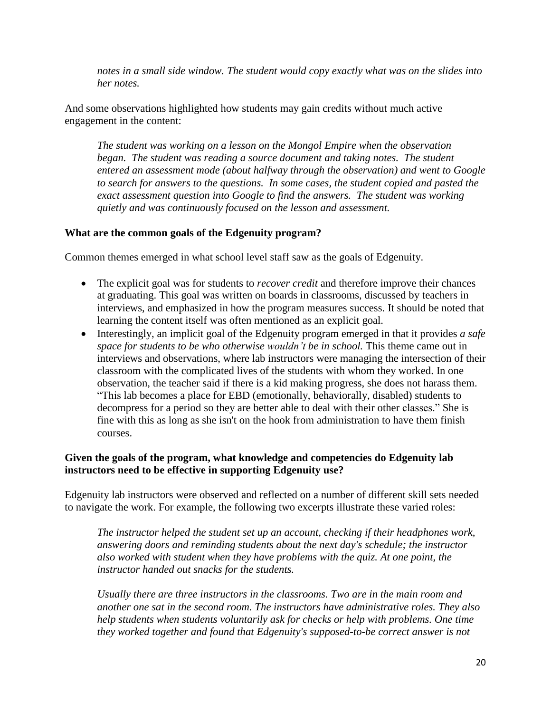*notes in a small side window. The student would copy exactly what was on the slides into her notes.*

And some observations highlighted how students may gain credits without much active engagement in the content:

*The student was working on a lesson on the Mongol Empire when the observation began. The student was reading a source document and taking notes. The student entered an assessment mode (about halfway through the observation) and went to Google to search for answers to the questions. In some cases, the student copied and pasted the exact assessment question into Google to find the answers. The student was working quietly and was continuously focused on the lesson and assessment.*

#### **What are the common goals of the Edgenuity program?**

Common themes emerged in what school level staff saw as the goals of Edgenuity.

- The explicit goal was for students to *recover credit* and therefore improve their chances at graduating. This goal was written on boards in classrooms, discussed by teachers in interviews, and emphasized in how the program measures success. It should be noted that learning the content itself was often mentioned as an explicit goal.
- Interestingly, an implicit goal of the Edgenuity program emerged in that it provides *a safe space for students to be who otherwise wouldn't be in school.* This theme came out in interviews and observations, where lab instructors were managing the intersection of their classroom with the complicated lives of the students with whom they worked. In one observation, the teacher said if there is a kid making progress, she does not harass them. "This lab becomes a place for EBD (emotionally, behaviorally, disabled) students to decompress for a period so they are better able to deal with their other classes." She is fine with this as long as she isn't on the hook from administration to have them finish courses.

### **Given the goals of the program, what knowledge and competencies do Edgenuity lab instructors need to be effective in supporting Edgenuity use?**

Edgenuity lab instructors were observed and reflected on a number of different skill sets needed to navigate the work. For example, the following two excerpts illustrate these varied roles:

*The instructor helped the student set up an account, checking if their headphones work, answering doors and reminding students about the next day's schedule; the instructor also worked with student when they have problems with the quiz. At one point, the instructor handed out snacks for the students.*

*Usually there are three instructors in the classrooms. Two are in the main room and another one sat in the second room. The instructors have administrative roles. They also help students when students voluntarily ask for checks or help with problems. One time they worked together and found that Edgenuity's supposed-to-be correct answer is not*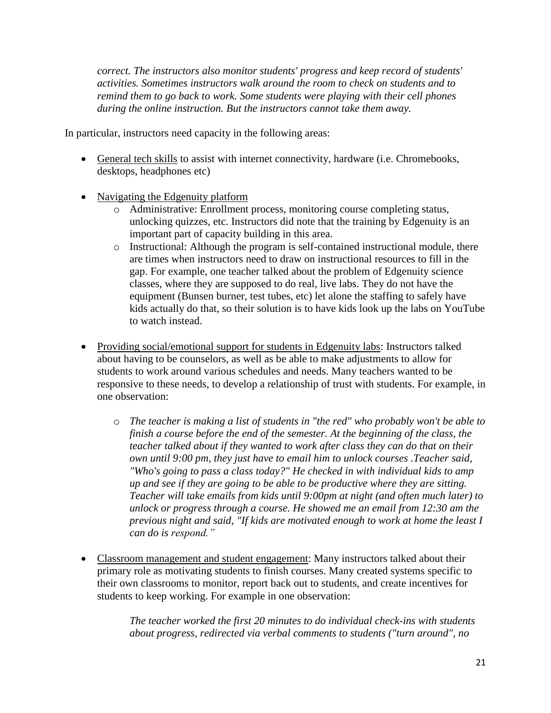*correct. The instructors also monitor students' progress and keep record of students' activities. Sometimes instructors walk around the room to check on students and to remind them to go back to work. Some students were playing with their cell phones during the online instruction. But the instructors cannot take them away.*

In particular, instructors need capacity in the following areas:

- General tech skills to assist with internet connectivity, hardware (i.e. Chromebooks, desktops, headphones etc)
- Navigating the Edgenuity platform
	- o Administrative: Enrollment process, monitoring course completing status, unlocking quizzes, etc. Instructors did note that the training by Edgenuity is an important part of capacity building in this area.
	- o Instructional: Although the program is self-contained instructional module, there are times when instructors need to draw on instructional resources to fill in the gap. For example, one teacher talked about the problem of Edgenuity science classes, where they are supposed to do real, live labs. They do not have the equipment (Bunsen burner, test tubes, etc) let alone the staffing to safely have kids actually do that, so their solution is to have kids look up the labs on YouTube to watch instead.
- Providing social/emotional support for students in Edgenuity labs: Instructors talked about having to be counselors, as well as be able to make adjustments to allow for students to work around various schedules and needs. Many teachers wanted to be responsive to these needs, to develop a relationship of trust with students. For example, in one observation:
	- o *The teacher is making a list of students in "the red" who probably won't be able to finish a course before the end of the semester. At the beginning of the class, the teacher talked about if they wanted to work after class they can do that on their own until 9:00 pm, they just have to email him to unlock courses .Teacher said, "Who's going to pass a class today?" He checked in with individual kids to amp up and see if they are going to be able to be productive where they are sitting. Teacher will take emails from kids until 9:00pm at night (and often much later) to unlock or progress through a course. He showed me an email from 12:30 am the previous night and said, "If kids are motivated enough to work at home the least I can do is respond."*
- Classroom management and student engagement: Many instructors talked about their primary role as motivating students to finish courses. Many created systems specific to their own classrooms to monitor, report back out to students, and create incentives for students to keep working. For example in one observation:

*The teacher worked the first 20 minutes to do individual check-ins with students about progress, redirected via verbal comments to students ("turn around", no*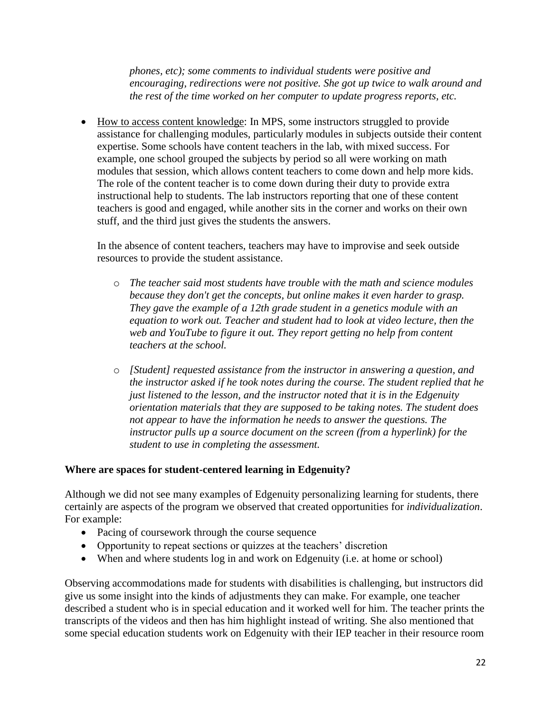*phones, etc); some comments to individual students were positive and encouraging, redirections were not positive. She got up twice to walk around and the rest of the time worked on her computer to update progress reports, etc.*

 How to access content knowledge: In MPS, some instructors struggled to provide assistance for challenging modules, particularly modules in subjects outside their content expertise. Some schools have content teachers in the lab, with mixed success. For example, one school grouped the subjects by period so all were working on math modules that session, which allows content teachers to come down and help more kids. The role of the content teacher is to come down during their duty to provide extra instructional help to students. The lab instructors reporting that one of these content teachers is good and engaged, while another sits in the corner and works on their own stuff, and the third just gives the students the answers.

In the absence of content teachers, teachers may have to improvise and seek outside resources to provide the student assistance.

- o *The teacher said most students have trouble with the math and science modules because they don't get the concepts, but online makes it even harder to grasp. They gave the example of a 12th grade student in a genetics module with an equation to work out. Teacher and student had to look at video lecture, then the web and YouTube to figure it out. They report getting no help from content teachers at the school.*
- o *[Student] requested assistance from the instructor in answering a question, and the instructor asked if he took notes during the course. The student replied that he just listened to the lesson, and the instructor noted that it is in the Edgenuity orientation materials that they are supposed to be taking notes. The student does not appear to have the information he needs to answer the questions. The instructor pulls up a source document on the screen (from a hyperlink) for the student to use in completing the assessment.*

### **Where are spaces for student-centered learning in Edgenuity?**

Although we did not see many examples of Edgenuity personalizing learning for students, there certainly are aspects of the program we observed that created opportunities for *individualization*. For example:

- Pacing of coursework through the course sequence
- Opportunity to repeat sections or quizzes at the teachers' discretion
- When and where students log in and work on Edgenuity (i.e. at home or school)

Observing accommodations made for students with disabilities is challenging, but instructors did give us some insight into the kinds of adjustments they can make. For example, one teacher described a student who is in special education and it worked well for him. The teacher prints the transcripts of the videos and then has him highlight instead of writing. She also mentioned that some special education students work on Edgenuity with their IEP teacher in their resource room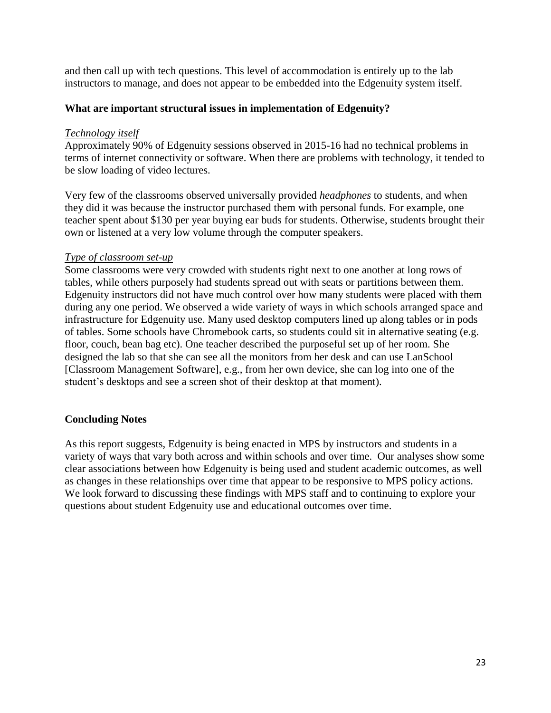and then call up with tech questions. This level of accommodation is entirely up to the lab instructors to manage, and does not appear to be embedded into the Edgenuity system itself.

#### **What are important structural issues in implementation of Edgenuity?**

#### *Technology itself*

Approximately 90% of Edgenuity sessions observed in 2015-16 had no technical problems in terms of internet connectivity or software. When there are problems with technology, it tended to be slow loading of video lectures.

Very few of the classrooms observed universally provided *headphones* to students, and when they did it was because the instructor purchased them with personal funds. For example, one teacher spent about \$130 per year buying ear buds for students. Otherwise, students brought their own or listened at a very low volume through the computer speakers.

#### *Type of classroom set-up*

Some classrooms were very crowded with students right next to one another at long rows of tables, while others purposely had students spread out with seats or partitions between them. Edgenuity instructors did not have much control over how many students were placed with them during any one period. We observed a wide variety of ways in which schools arranged space and infrastructure for Edgenuity use. Many used desktop computers lined up along tables or in pods of tables. Some schools have Chromebook carts, so students could sit in alternative seating (e.g. floor, couch, bean bag etc). One teacher described the purposeful set up of her room. She designed the lab so that she can see all the monitors from her desk and can use LanSchool [Classroom Management Software], e.g., from her own device, she can log into one of the student's desktops and see a screen shot of their desktop at that moment).

### **Concluding Notes**

As this report suggests, Edgenuity is being enacted in MPS by instructors and students in a variety of ways that vary both across and within schools and over time. Our analyses show some clear associations between how Edgenuity is being used and student academic outcomes, as well as changes in these relationships over time that appear to be responsive to MPS policy actions. We look forward to discussing these findings with MPS staff and to continuing to explore your questions about student Edgenuity use and educational outcomes over time.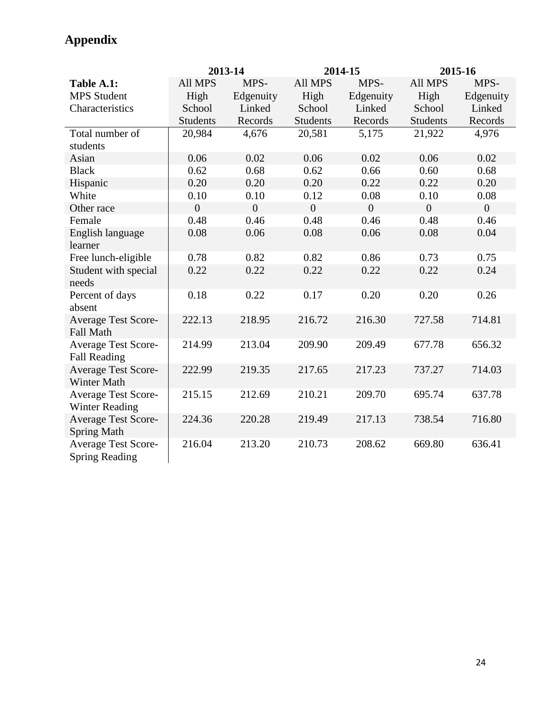|                                                     |                 | 2013-14        |                 | 2014-15        | 2015-16         |                |  |
|-----------------------------------------------------|-----------------|----------------|-----------------|----------------|-----------------|----------------|--|
| Table A.1:                                          | All MPS         | MPS-           | All MPS         | MPS-           | All MPS         | MPS-           |  |
| <b>MPS</b> Student                                  | High            | Edgenuity      | High            | Edgenuity      | High            | Edgenuity      |  |
| Characteristics                                     | School          | Linked         | School          | Linked         | School          | Linked         |  |
|                                                     | <b>Students</b> | Records        | <b>Students</b> | Records        | <b>Students</b> | Records        |  |
| Total number of<br>students                         | 20,984          | 4,676          | 20,581          | 5,175          | 21,922          | 4,976          |  |
| Asian                                               | 0.06            | 0.02           | 0.06            | 0.02           | 0.06            | 0.02           |  |
| <b>Black</b>                                        | 0.62            | 0.68           | 0.62            | 0.66           | 0.60            | 0.68           |  |
| Hispanic                                            | 0.20            | 0.20           | 0.20            | 0.22           | 0.22            | 0.20           |  |
| White                                               | 0.10            | 0.10           | 0.12            | 0.08           | 0.10            | 0.08           |  |
| Other race                                          | $\overline{0}$  | $\overline{0}$ | $\overline{0}$  | $\overline{0}$ | $\overline{0}$  | $\overline{0}$ |  |
| Female                                              | 0.48            | 0.46           | 0.48            | 0.46           | 0.48            | 0.46           |  |
| English language<br>learner                         | 0.08            | 0.06           | 0.08            | 0.06           | 0.08            | 0.04           |  |
| Free lunch-eligible                                 | 0.78            | 0.82           | 0.82            | 0.86           | 0.73            | 0.75           |  |
| Student with special<br>needs                       | 0.22            | 0.22           | 0.22            | 0.22           | 0.22            | 0.24           |  |
| Percent of days<br>absent                           | 0.18            | 0.22           | 0.17            | 0.20           | 0.20            | 0.26           |  |
| <b>Average Test Score-</b><br><b>Fall Math</b>      | 222.13          | 218.95         | 216.72          | 216.30         | 727.58          | 714.81         |  |
| <b>Average Test Score-</b><br><b>Fall Reading</b>   | 214.99          | 213.04         | 209.90          | 209.49         | 677.78          | 656.32         |  |
| <b>Average Test Score-</b><br><b>Winter Math</b>    | 222.99          | 219.35         | 217.65          | 217.23         | 737.27          | 714.03         |  |
| <b>Average Test Score-</b><br><b>Winter Reading</b> | 215.15          | 212.69         | 210.21          | 209.70         | 695.74          | 637.78         |  |
| <b>Average Test Score-</b><br><b>Spring Math</b>    | 224.36          | 220.28         | 219.49          | 217.13         | 738.54          | 716.80         |  |
| <b>Average Test Score-</b><br><b>Spring Reading</b> | 216.04          | 213.20         | 210.73          | 208.62         | 669.80          | 636.41         |  |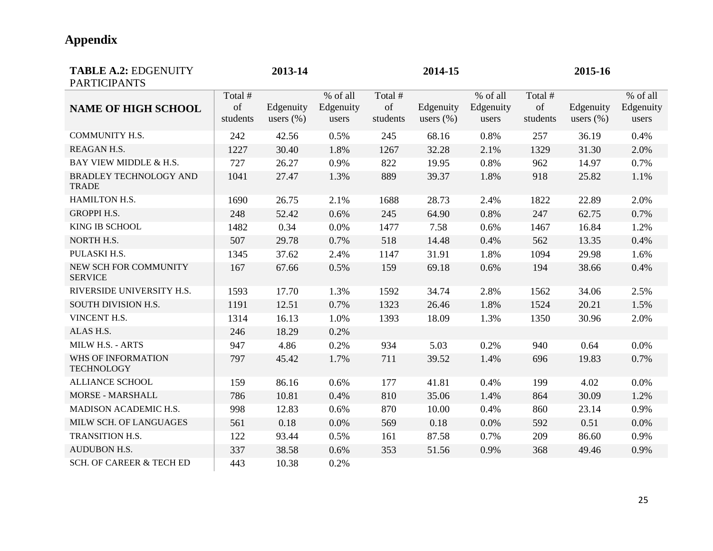| <b>TABLE A.2: EDGENUITY</b><br><b>PARTICIPANTS</b> |          | 2013-14       |           |          | 2014-15       |           |          | 2015-16       |           |
|----------------------------------------------------|----------|---------------|-----------|----------|---------------|-----------|----------|---------------|-----------|
|                                                    | Total #  |               | % of all  | Total #  |               | % of all  | Total #  |               | % of all  |
| <b>NAME OF HIGH SCHOOL</b>                         | of       | Edgenuity     | Edgenuity | of       | Edgenuity     | Edgenuity | of       | Edgenuity     | Edgenuity |
|                                                    | students | users $(\% )$ | users     | students | users $(\% )$ | users     | students | users $(\% )$ | users     |
| <b>COMMUNITY H.S.</b>                              | 242      | 42.56         | 0.5%      | 245      | 68.16         | 0.8%      | 257      | 36.19         | 0.4%      |
| REAGAN H.S.                                        | 1227     | 30.40         | 1.8%      | 1267     | 32.28         | 2.1%      | 1329     | 31.30         | 2.0%      |
| BAY VIEW MIDDLE & H.S.                             | 727      | 26.27         | 0.9%      | 822      | 19.95         | 0.8%      | 962      | 14.97         | 0.7%      |
| <b>BRADLEY TECHNOLOGY AND</b><br><b>TRADE</b>      | 1041     | 27.47         | 1.3%      | 889      | 39.37         | 1.8%      | 918      | 25.82         | 1.1%      |
| HAMILTON H.S.                                      | 1690     | 26.75         | 2.1%      | 1688     | 28.73         | 2.4%      | 1822     | 22.89         | 2.0%      |
| <b>GROPPI H.S.</b>                                 | 248      | 52.42         | 0.6%      | 245      | 64.90         | 0.8%      | 247      | 62.75         | 0.7%      |
| KING IB SCHOOL                                     | 1482     | 0.34          | 0.0%      | 1477     | 7.58          | 0.6%      | 1467     | 16.84         | 1.2%      |
| NORTH H.S.                                         | 507      | 29.78         | 0.7%      | 518      | 14.48         | 0.4%      | 562      | 13.35         | 0.4%      |
| PULASKI H.S.                                       | 1345     | 37.62         | 2.4%      | 1147     | 31.91         | 1.8%      | 1094     | 29.98         | 1.6%      |
| NEW SCH FOR COMMUNITY<br><b>SERVICE</b>            | 167      | 67.66         | 0.5%      | 159      | 69.18         | 0.6%      | 194      | 38.66         | 0.4%      |
| RIVERSIDE UNIVERSITY H.S.                          | 1593     | 17.70         | 1.3%      | 1592     | 34.74         | 2.8%      | 1562     | 34.06         | 2.5%      |
| SOUTH DIVISION H.S.                                | 1191     | 12.51         | 0.7%      | 1323     | 26.46         | 1.8%      | 1524     | 20.21         | 1.5%      |
| VINCENT H.S.                                       | 1314     | 16.13         | 1.0%      | 1393     | 18.09         | 1.3%      | 1350     | 30.96         | 2.0%      |
| ALAS H.S.                                          | 246      | 18.29         | 0.2%      |          |               |           |          |               |           |
| MILW H.S. - ARTS                                   | 947      | 4.86          | 0.2%      | 934      | 5.03          | 0.2%      | 940      | 0.64          | 0.0%      |
| WHS OF INFORMATION<br><b>TECHNOLOGY</b>            | 797      | 45.42         | 1.7%      | 711      | 39.52         | 1.4%      | 696      | 19.83         | 0.7%      |
| <b>ALLIANCE SCHOOL</b>                             | 159      | 86.16         | 0.6%      | 177      | 41.81         | 0.4%      | 199      | 4.02          | 0.0%      |
| MORSE - MARSHALL                                   | 786      | 10.81         | 0.4%      | 810      | 35.06         | 1.4%      | 864      | 30.09         | 1.2%      |
| MADISON ACADEMIC H.S.                              | 998      | 12.83         | 0.6%      | 870      | 10.00         | 0.4%      | 860      | 23.14         | 0.9%      |
| MILW SCH. OF LANGUAGES                             | 561      | 0.18          | 0.0%      | 569      | 0.18          | 0.0%      | 592      | 0.51          | 0.0%      |
| TRANSITION H.S.                                    | 122      | 93.44         | 0.5%      | 161      | 87.58         | 0.7%      | 209      | 86.60         | 0.9%      |
| <b>AUDUBON H.S.</b>                                | 337      | 38.58         | 0.6%      | 353      | 51.56         | 0.9%      | 368      | 49.46         | 0.9%      |
| <b>SCH. OF CAREER &amp; TECH ED</b>                | 443      | 10.38         | 0.2%      |          |               |           |          |               |           |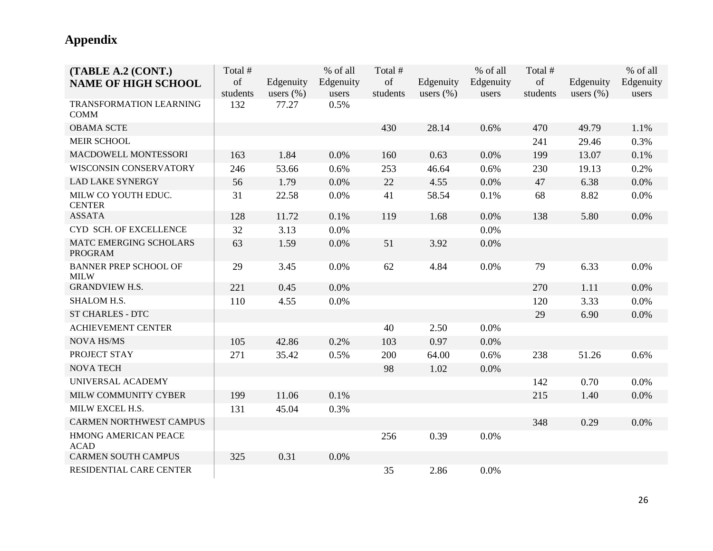| (TABLE A.2 (CONT.)<br><b>NAME OF HIGH SCHOOL</b> | Total #<br>of<br>students | Edgenuity<br>users $(\% )$ | % of all<br>Edgenuity<br>users | Total #<br>of<br>students | Edgenuity<br>users $(\% )$ | % of all<br>Edgenuity<br>users | Total #<br>of<br>students | Edgenuity<br>users $(\% )$ | % of all<br>Edgenuity<br>users |
|--------------------------------------------------|---------------------------|----------------------------|--------------------------------|---------------------------|----------------------------|--------------------------------|---------------------------|----------------------------|--------------------------------|
| <b>TRANSFORMATION LEARNING</b><br><b>COMM</b>    | 132                       | 77.27                      | 0.5%                           |                           |                            |                                |                           |                            |                                |
| <b>OBAMA SCTE</b>                                |                           |                            |                                | 430                       | 28.14                      | 0.6%                           | 470                       | 49.79                      | 1.1%                           |
| MEIR SCHOOL                                      |                           |                            |                                |                           |                            |                                | 241                       | 29.46                      | 0.3%                           |
| MACDOWELL MONTESSORI                             | 163                       | 1.84                       | 0.0%                           | 160                       | 0.63                       | 0.0%                           | 199                       | 13.07                      | 0.1%                           |
| <b>WISCONSIN CONSERVATORY</b>                    | 246                       | 53.66                      | 0.6%                           | 253                       | 46.64                      | 0.6%                           | 230                       | 19.13                      | 0.2%                           |
| <b>LAD LAKE SYNERGY</b>                          | 56                        | 1.79                       | 0.0%                           | 22                        | 4.55                       | 0.0%                           | 47                        | 6.38                       | 0.0%                           |
| MILW CO YOUTH EDUC.<br><b>CENTER</b>             | 31                        | 22.58                      | 0.0%                           | 41                        | 58.54                      | 0.1%                           | 68                        | 8.82                       | 0.0%                           |
| <b>ASSATA</b>                                    | 128                       | 11.72                      | 0.1%                           | 119                       | 1.68                       | 0.0%                           | 138                       | 5.80                       | 0.0%                           |
| CYD SCH. OF EXCELLENCE                           | 32                        | 3.13                       | 0.0%                           |                           |                            | 0.0%                           |                           |                            |                                |
| MATC EMERGING SCHOLARS<br><b>PROGRAM</b>         | 63                        | 1.59                       | 0.0%                           | 51                        | 3.92                       | 0.0%                           |                           |                            |                                |
| <b>BANNER PREP SCHOOL OF</b><br><b>MILW</b>      | 29                        | 3.45                       | 0.0%                           | 62                        | 4.84                       | 0.0%                           | 79                        | 6.33                       | 0.0%                           |
| <b>GRANDVIEW H.S.</b>                            | 221                       | 0.45                       | 0.0%                           |                           |                            |                                | 270                       | 1.11                       | 0.0%                           |
| SHALOM H.S.                                      | 110                       | 4.55                       | 0.0%                           |                           |                            |                                | 120                       | 3.33                       | 0.0%                           |
| <b>ST CHARLES - DTC</b>                          |                           |                            |                                |                           |                            |                                | 29                        | 6.90                       | 0.0%                           |
| <b>ACHIEVEMENT CENTER</b>                        |                           |                            |                                | 40                        | 2.50                       | 0.0%                           |                           |                            |                                |
| <b>NOVA HS/MS</b>                                | 105                       | 42.86                      | 0.2%                           | 103                       | 0.97                       | 0.0%                           |                           |                            |                                |
| PROJECT STAY                                     | 271                       | 35.42                      | 0.5%                           | 200                       | 64.00                      | 0.6%                           | 238                       | 51.26                      | 0.6%                           |
| <b>NOVA TECH</b>                                 |                           |                            |                                | 98                        | 1.02                       | 0.0%                           |                           |                            |                                |
| UNIVERSAL ACADEMY                                |                           |                            |                                |                           |                            |                                | 142                       | 0.70                       | 0.0%                           |
| MILW COMMUNITY CYBER                             | 199                       | 11.06                      | 0.1%                           |                           |                            |                                | 215                       | 1.40                       | 0.0%                           |
| MILW EXCEL H.S.                                  | 131                       | 45.04                      | 0.3%                           |                           |                            |                                |                           |                            |                                |
| <b>CARMEN NORTHWEST CAMPUS</b>                   |                           |                            |                                |                           |                            |                                | 348                       | 0.29                       | 0.0%                           |
| HMONG AMERICAN PEACE<br><b>ACAD</b>              |                           |                            |                                | 256                       | 0.39                       | 0.0%                           |                           |                            |                                |
| <b>CARMEN SOUTH CAMPUS</b>                       | 325                       | 0.31                       | 0.0%                           |                           |                            |                                |                           |                            |                                |
| RESIDENTIAL CARE CENTER                          |                           |                            |                                | 35                        | 2.86                       | 0.0%                           |                           |                            |                                |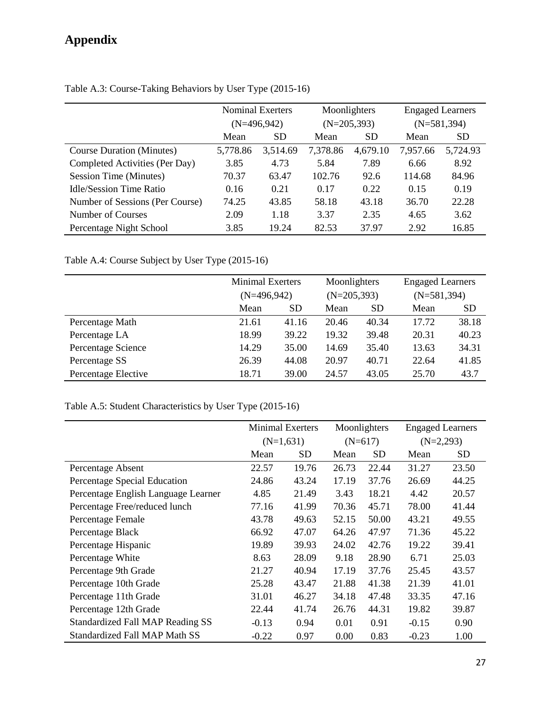|                                  |              | Nominal Exerters |          | Moonlighters  |          | <b>Engaged Learners</b> |
|----------------------------------|--------------|------------------|----------|---------------|----------|-------------------------|
|                                  |              | $(N=496,942)$    |          | $(N=205,393)$ |          | $(N=581,394)$           |
|                                  | Mean         | <b>SD</b>        | Mean     | <b>SD</b>     | Mean     | <b>SD</b>               |
| <b>Course Duration (Minutes)</b> | 5,778.86     | 3,514.69         | 7,378.86 | 4,679.10      | 7,957.66 | 5,724.93                |
| Completed Activities (Per Day)   | 3.85         | 4.73             | 5.84     | 7.89          | 6.66     | 8.92                    |
| Session Time (Minutes)           | 70.37        | 63.47            | 102.76   | 92.6          | 114.68   | 84.96                   |
| Idle/Session Time Ratio          | 0.16         | 0.21             | 0.17     | 0.22          | 0.15     | 0.19                    |
| Number of Sessions (Per Course)  | 74.25        | 43.85            | 58.18    | 43.18         | 36.70    | 22.28                   |
| Number of Courses                | 2.09<br>1.18 |                  | 3.37     | 2.35          | 4.65     | 3.62                    |
| Percentage Night School          | 3.85         | 19.24            | 82.53    | 37.97         | 2.92     | 16.85                   |

Table A.3: Course-Taking Behaviors by User Type (2015-16)

Table A.4: Course Subject by User Type (2015-16)

|                     | <b>Minimal Exerters</b> |           | Moonlighters |               | <b>Engaged Learners</b> |               |  |
|---------------------|-------------------------|-----------|--------------|---------------|-------------------------|---------------|--|
|                     | $(N=496,942)$           |           |              | $(N=205,393)$ |                         | $(N=581,394)$ |  |
|                     | Mean                    | <b>SD</b> | Mean         | <b>SD</b>     | Mean                    | <b>SD</b>     |  |
| Percentage Math     | 21.61                   | 41.16     | 20.46        | 40.34         | 17.72                   | 38.18         |  |
| Percentage LA       | 18.99                   | 39.22     | 19.32        | 39.48         | 20.31                   | 40.23         |  |
| Percentage Science  | 14.29                   | 35.00     | 14.69        | 35.40         | 13.63                   | 34.31         |  |
| Percentage SS       | 26.39                   | 44.08     | 20.97        | 40.71         | 22.64                   | 41.85         |  |
| Percentage Elective | 18.71                   | 39.00     | 24.57        | 43.05         | 25.70                   | 43.7          |  |

## Table A.5: Student Characteristics by User Type (2015-16)

|                                      | <b>Minimal Exerters</b> |           | Moonlighters |           | <b>Engaged Learners</b> |           |
|--------------------------------------|-------------------------|-----------|--------------|-----------|-------------------------|-----------|
|                                      | $(N=1,631)$             |           | $(N=617)$    |           | $(N=2,293)$             |           |
|                                      | Mean                    | <b>SD</b> | Mean         | <b>SD</b> | Mean                    | <b>SD</b> |
| Percentage Absent                    | 22.57                   | 19.76     | 26.73        | 22.44     | 31.27                   | 23.50     |
| Percentage Special Education         | 24.86                   | 43.24     | 17.19        | 37.76     | 26.69                   | 44.25     |
| Percentage English Language Learner  | 4.85                    | 21.49     | 3.43         | 18.21     | 4.42                    | 20.57     |
| Percentage Free/reduced lunch        | 77.16                   | 41.99     | 70.36        | 45.71     | 78.00                   | 41.44     |
| Percentage Female                    | 43.78                   | 49.63     | 52.15        | 50.00     | 43.21                   | 49.55     |
| Percentage Black                     | 66.92                   | 47.07     | 64.26        | 47.97     | 71.36                   | 45.22     |
| Percentage Hispanic                  | 19.89                   | 39.93     | 24.02        | 42.76     | 19.22                   | 39.41     |
| Percentage White                     | 8.63                    | 28.09     | 9.18         | 28.90     | 6.71                    | 25.03     |
| Percentage 9th Grade                 | 21.27                   | 40.94     | 17.19        | 37.76     | 25.45                   | 43.57     |
| Percentage 10th Grade                | 25.28                   | 43.47     | 21.88        | 41.38     | 21.39                   | 41.01     |
| Percentage 11th Grade                | 31.01                   | 46.27     | 34.18        | 47.48     | 33.35                   | 47.16     |
| Percentage 12th Grade                | 22.44                   | 41.74     | 26.76        | 44.31     | 19.82                   | 39.87     |
| Standardized Fall MAP Reading SS     | $-0.13$                 | 0.94      | 0.01         | 0.91      | $-0.15$                 | 0.90      |
| <b>Standardized Fall MAP Math SS</b> | $-0.22$                 | 0.97      | 0.00         | 0.83      | $-0.23$                 | 1.00      |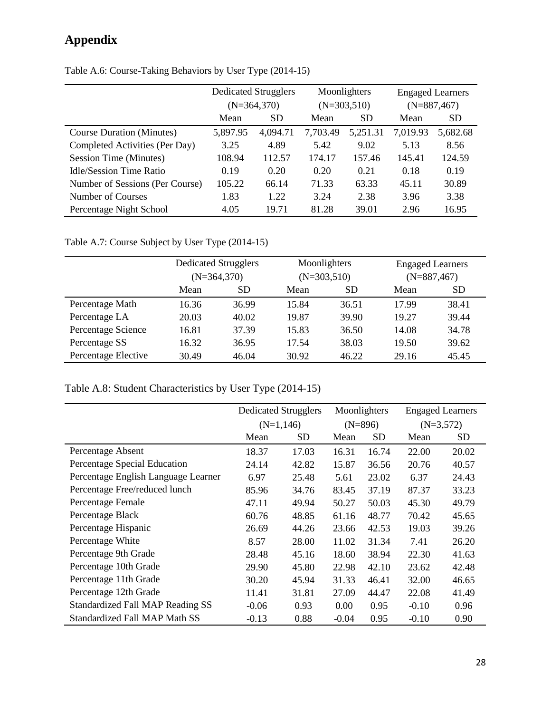|                                  | <b>Dedicated Strugglers</b><br>$(N=364,370)$ |           |          | Moonlighters<br>$(N=303,510)$ | <b>Engaged Learners</b><br>$(N=887,467)$ |           |  |
|----------------------------------|----------------------------------------------|-----------|----------|-------------------------------|------------------------------------------|-----------|--|
|                                  | Mean                                         | <b>SD</b> | Mean     | <b>SD</b>                     | Mean                                     | <b>SD</b> |  |
| <b>Course Duration (Minutes)</b> | 5,897.95                                     | 4,094.71  | 7,703.49 | 5,251.31                      | 7,019.93                                 | 5,682.68  |  |
| Completed Activities (Per Day)   | 3.25                                         | 4.89      | 5.42     | 9.02                          | 5.13                                     | 8.56      |  |
| Session Time (Minutes)           | 108.94                                       | 112.57    | 174.17   | 157.46                        | 145.41                                   | 124.59    |  |
| <b>Idle/Session Time Ratio</b>   | 0.19                                         | 0.20      | 0.20     | 0.21                          | 0.18                                     | 0.19      |  |
| Number of Sessions (Per Course)  | 105.22                                       | 66.14     | 71.33    | 63.33                         | 45.11                                    | 30.89     |  |
| Number of Courses                | 1.83                                         | 1.22      | 3.24     | 2.38                          | 3.96                                     | 3.38      |  |
| Percentage Night School          | 4.05                                         | 19.71     | 81.28    | 39.01                         | 2.96                                     | 16.95     |  |

Table A.6: Course-Taking Behaviors by User Type (2014-15)

Table A.7: Course Subject by User Type (2014-15)

|                     | Dedicated Strugglers |               |       | Moonlighters                   | <b>Engaged Learners</b> |           |  |
|---------------------|----------------------|---------------|-------|--------------------------------|-------------------------|-----------|--|
|                     |                      | $(N=364,370)$ |       | $(N=303,510)$<br>$(N=887,467)$ |                         |           |  |
|                     | Mean                 | <b>SD</b>     | Mean  | SD                             | Mean                    | <b>SD</b> |  |
| Percentage Math     | 16.36                | 36.99         | 15.84 | 36.51                          | 17.99                   | 38.41     |  |
| Percentage LA       | 20.03                | 40.02         | 19.87 | 39.90                          | 19.27                   | 39.44     |  |
| Percentage Science  | 16.81                | 37.39         | 15.83 | 36.50                          | 14.08                   | 34.78     |  |
| Percentage SS       | 16.32                | 36.95         | 17.54 | 38.03                          | 19.50                   | 39.62     |  |
| Percentage Elective | 30.49                | 46.04         | 30.92 | 46.22                          | 29.16                   | 45.45     |  |

Table A.8: Student Characteristics by User Type (2014-15)

|                                      | <b>Dedicated Strugglers</b> |           |           | Moonlighters |             | <b>Engaged Learners</b> |
|--------------------------------------|-----------------------------|-----------|-----------|--------------|-------------|-------------------------|
|                                      | $(N=1,146)$                 |           | $(N=896)$ |              | $(N=3,572)$ |                         |
|                                      | Mean                        | <b>SD</b> | Mean      | <b>SD</b>    | Mean        | <b>SD</b>               |
| Percentage Absent                    | 18.37                       | 17.03     | 16.31     | 16.74        | 22.00       | 20.02                   |
| Percentage Special Education         | 24.14                       | 42.82     | 15.87     | 36.56        | 20.76       | 40.57                   |
| Percentage English Language Learner  | 6.97                        | 25.48     | 5.61      | 23.02        | 6.37        | 24.43                   |
| Percentage Free/reduced lunch        | 85.96                       | 34.76     | 83.45     | 37.19        | 87.37       | 33.23                   |
| Percentage Female                    | 47.11                       | 49.94     | 50.27     | 50.03        | 45.30       | 49.79                   |
| Percentage Black                     | 60.76                       | 48.85     | 61.16     | 48.77        | 70.42       | 45.65                   |
| Percentage Hispanic                  | 26.69                       | 44.26     | 23.66     | 42.53        | 19.03       | 39.26                   |
| Percentage White                     | 8.57                        | 28.00     | 11.02     | 31.34        | 7.41        | 26.20                   |
| Percentage 9th Grade                 | 28.48                       | 45.16     | 18.60     | 38.94        | 22.30       | 41.63                   |
| Percentage 10th Grade                | 29.90                       | 45.80     | 22.98     | 42.10        | 23.62       | 42.48                   |
| Percentage 11th Grade                | 30.20                       | 45.94     | 31.33     | 46.41        | 32.00       | 46.65                   |
| Percentage 12th Grade                | 11.41                       | 31.81     | 27.09     | 44.47        | 22.08       | 41.49                   |
| Standardized Fall MAP Reading SS     | $-0.06$                     | 0.93      | 0.00      | 0.95         | $-0.10$     | 0.96                    |
| <b>Standardized Fall MAP Math SS</b> | $-0.13$                     | 0.88      | $-0.04$   | 0.95         | $-0.10$     | 0.90                    |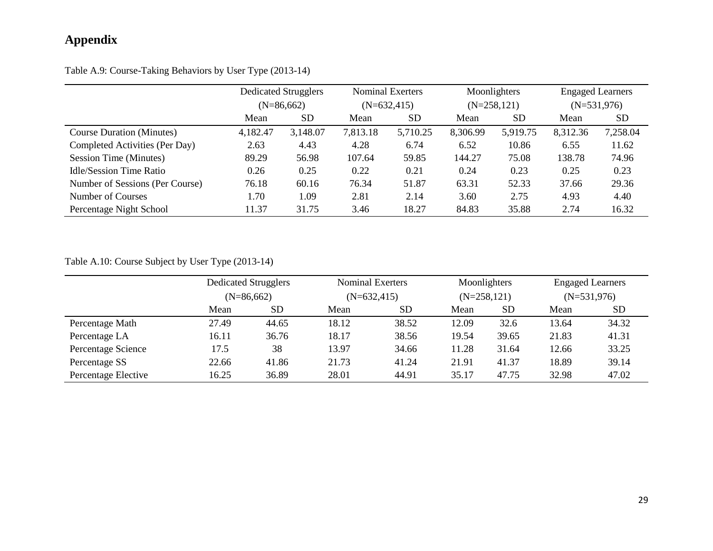Table A.9: Course-Taking Behaviors by User Type (2013-14)

|                                  | <b>Dedicated Strugglers</b><br>$(N=86,662)$ |           |               | <b>Nominal Exerters</b> |          | Moonlighters   |               | <b>Engaged Learners</b> |
|----------------------------------|---------------------------------------------|-----------|---------------|-------------------------|----------|----------------|---------------|-------------------------|
|                                  |                                             |           | $(N=632,415)$ |                         |          | $(N=258, 121)$ | $(N=531,976)$ |                         |
|                                  | Mean                                        | <b>SD</b> | Mean          | <b>SD</b>               | Mean     | <b>SD</b>      | Mean          | <b>SD</b>               |
| <b>Course Duration (Minutes)</b> | 4,182.47                                    | 3,148.07  | 7,813.18      | 5,710.25                | 8,306.99 | 5,919.75       | 8,312.36      | 7,258.04                |
| Completed Activities (Per Day)   | 2.63                                        | 4.43      | 4.28          | 6.74                    | 6.52     | 10.86          | 6.55          | 11.62                   |
| Session Time (Minutes)           | 89.29                                       | 56.98     | 107.64        | 59.85                   | 144.27   | 75.08          | 138.78        | 74.96                   |
| Idle/Session Time Ratio          | 0.26                                        | 0.25      | 0.22          | 0.21                    | 0.24     | 0.23           | 0.25          | 0.23                    |
| Number of Sessions (Per Course)  | 76.18                                       | 60.16     | 76.34         | 51.87                   | 63.31    | 52.33          | 37.66         | 29.36                   |
| Number of Courses                | 1.70                                        | 1.09      | 2.81          | 2.14                    | 3.60     | 2.75           | 4.93          | 4.40                    |
| Percentage Night School          | 11.37                                       | 31.75     | 3.46          | 18.27                   | 84.83    | 35.88          | 2.74          | 16.32                   |

Table A.10: Course Subject by User Type (2013-14)

|                     | <b>Dedicated Strugglers</b><br>$(N=86,662)$ |           |       | <b>Nominal Exerters</b> |       | Moonlighters  | <b>Engaged Learners</b> |                 |
|---------------------|---------------------------------------------|-----------|-------|-------------------------|-------|---------------|-------------------------|-----------------|
|                     |                                             |           |       | $(N=632,415)$           |       | $(N=258,121)$ | $(N=531,976)$           |                 |
|                     | Mean                                        | <b>SD</b> | Mean  | <b>SD</b>               | Mean  | <b>SD</b>     | Mean                    | SD <sub>.</sub> |
| Percentage Math     | 27.49                                       | 44.65     | 18.12 | 38.52                   | 12.09 | 32.6          | 13.64                   | 34.32           |
| Percentage LA       | 16.11                                       | 36.76     | 18.17 | 38.56                   | 19.54 | 39.65         | 21.83                   | 41.31           |
| Percentage Science  | 17.5                                        | 38        | 13.97 | 34.66                   | 11.28 | 31.64         | 12.66                   | 33.25           |
| Percentage SS       | 22.66                                       | 41.86     | 21.73 | 41.24                   | 21.91 | 41.37         | 18.89                   | 39.14           |
| Percentage Elective | 16.25                                       | 36.89     | 28.01 | 44.91                   | 35.17 | 47.75         | 32.98                   | 47.02           |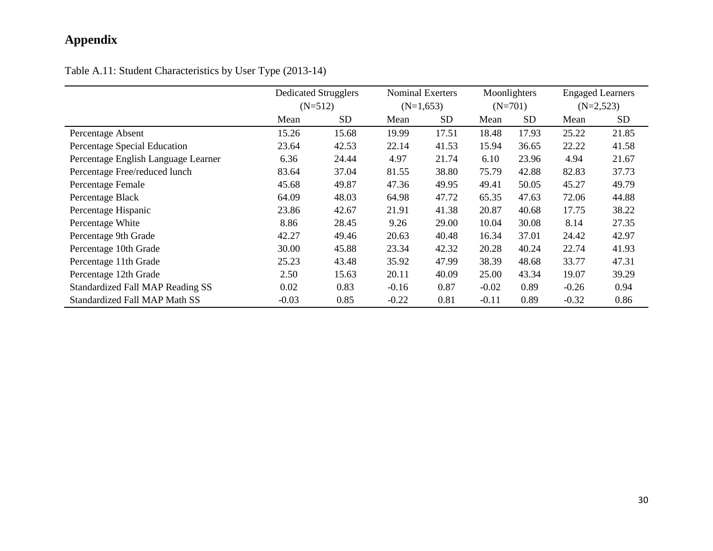Table A.11: Student Characteristics by User Type (2013-14)

|                                         | <b>Dedicated Strugglers</b> |           |             | Nominal Exerters |           | Moonlighters |         | <b>Engaged Learners</b> |
|-----------------------------------------|-----------------------------|-----------|-------------|------------------|-----------|--------------|---------|-------------------------|
|                                         | $(N=512)$                   |           | $(N=1,653)$ |                  | $(N=701)$ |              |         | $(N=2,523)$             |
|                                         | Mean                        | <b>SD</b> | Mean        | SD               | Mean      | <b>SD</b>    | Mean    | <b>SD</b>               |
| Percentage Absent                       | 15.26                       | 15.68     | 19.99       | 17.51            | 18.48     | 17.93        | 25.22   | 21.85                   |
| Percentage Special Education            | 23.64                       | 42.53     | 22.14       | 41.53            | 15.94     | 36.65        | 22.22   | 41.58                   |
| Percentage English Language Learner     | 6.36                        | 24.44     | 4.97        | 21.74            | 6.10      | 23.96        | 4.94    | 21.67                   |
| Percentage Free/reduced lunch           | 83.64                       | 37.04     | 81.55       | 38.80            | 75.79     | 42.88        | 82.83   | 37.73                   |
| Percentage Female                       | 45.68                       | 49.87     | 47.36       | 49.95            | 49.41     | 50.05        | 45.27   | 49.79                   |
| Percentage Black                        | 64.09                       | 48.03     | 64.98       | 47.72            | 65.35     | 47.63        | 72.06   | 44.88                   |
| Percentage Hispanic                     | 23.86                       | 42.67     | 21.91       | 41.38            | 20.87     | 40.68        | 17.75   | 38.22                   |
| Percentage White                        | 8.86                        | 28.45     | 9.26        | 29.00            | 10.04     | 30.08        | 8.14    | 27.35                   |
| Percentage 9th Grade                    | 42.27                       | 49.46     | 20.63       | 40.48            | 16.34     | 37.01        | 24.42   | 42.97                   |
| Percentage 10th Grade                   | 30.00                       | 45.88     | 23.34       | 42.32            | 20.28     | 40.24        | 22.74   | 41.93                   |
| Percentage 11th Grade                   | 25.23                       | 43.48     | 35.92       | 47.99            | 38.39     | 48.68        | 33.77   | 47.31                   |
| Percentage 12th Grade                   | 2.50                        | 15.63     | 20.11       | 40.09            | 25.00     | 43.34        | 19.07   | 39.29                   |
| <b>Standardized Fall MAP Reading SS</b> | 0.02                        | 0.83      | $-0.16$     | 0.87             | $-0.02$   | 0.89         | $-0.26$ | 0.94                    |
| <b>Standardized Fall MAP Math SS</b>    | $-0.03$                     | 0.85      | $-0.22$     | 0.81             | $-0.11$   | 0.89         | $-0.32$ | 0.86                    |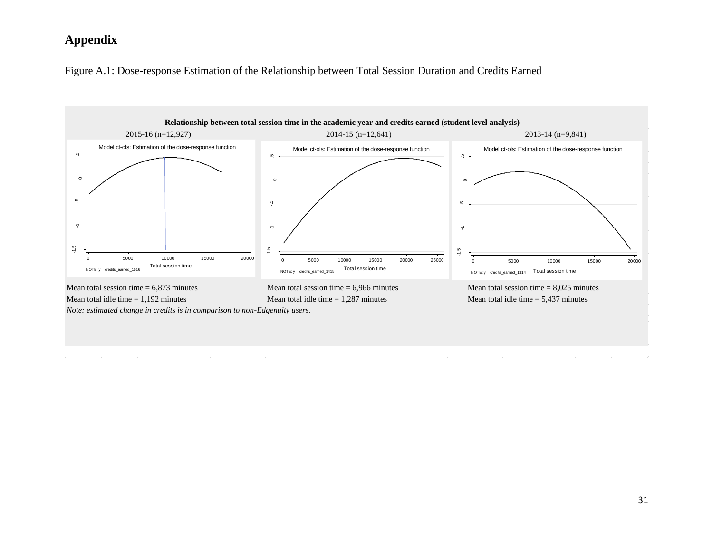